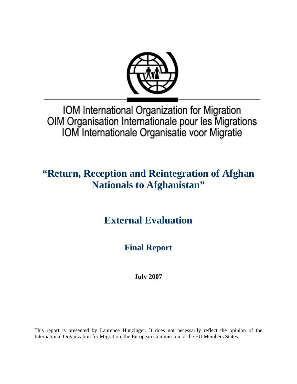

IOM International Organization for Migration OIM Organisation Internationale pour les Migrations IOM Internationale Organisatie voor Migratie

# **"Return, Reception and Reintegration of Afghan Nationals to Afghanistan"**

**External Evaluation**

**Final Report** 

**July 2007** 

This report is presented by Laurence Hunzinger. It does not necessarily reflect the opinion of the International Organization for Migration, the European Commission or the EU Members States.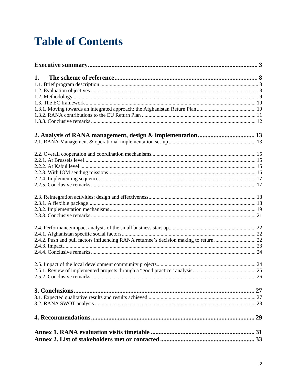# **Table of Contents**

| 1. |  |
|----|--|
|    |  |
|    |  |
|    |  |
|    |  |
|    |  |
|    |  |
|    |  |
|    |  |
|    |  |
|    |  |
|    |  |
|    |  |
|    |  |
|    |  |
|    |  |
|    |  |
|    |  |
|    |  |
|    |  |
|    |  |
|    |  |
|    |  |
|    |  |
|    |  |
|    |  |
|    |  |
|    |  |
|    |  |
|    |  |
|    |  |
|    |  |
|    |  |
|    |  |
|    |  |
|    |  |
|    |  |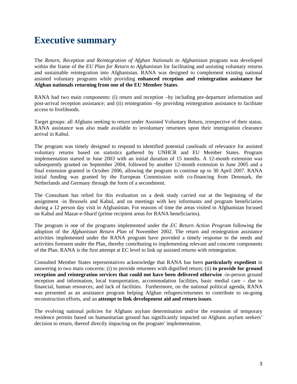# **Executive summary**

The *Return, Reception and Reintegration of Afghan Nationals to Afghanistan* program was developed within the frame of the *EU Plan for Return to Afghanistan* for facilitating and assisting voluntary returns and sustainable reintegration into Afghanistan. RANA was designed to complement existing national assisted voluntary programs while providing **enhanced reception and reintegration assistance for Afghan nationals returning from one of the EU Member States**.

RANA had two main components: (i) return and reception –by including pre-departure information and post-arrival reception assistance; and (ii) reintegration –by providing reintegration assistance to facilitate access to livelihoods.

Target groups: all Afghans seeking to return under Assisted Voluntary Return, irrespective of their status. RANA assistance was also made available to involuntary returnees upon their immigration clearance arrival in Kabul.

The program was timely designed to respond to identified potential caseloads of relevance for assisted voluntary returns based on statistics gathered by UNHCR and EU Member States. Program implementation started in June 2003 with an initial duration of 15 months. A 12-month extension was subsequently granted on September 2004, followed by another 12-month extension in June 2005 and a final extension granted in October 2006, allowing the program to continue up to 30 April 2007. RANA initial funding was granted by the European Commission with co-financing from Denmark, the Netherlands and Germany through the form of a secondment.

The Consultant has relied for this evaluation on a desk study carried out at the beginning of the assignment -in Brussels and Kabul, and on meetings with key informants and program beneficiaries during a 12 person day visit in Afghanistan. For reasons of time the areas visited in Afghanistan focused on Kabul and Mazar-e-Sharif (prime recipient areas for RANA beneficiaries).

The program is one of the programs implemented under the *EC Return Action Program* following the adoption of the *Afghanistan Return Plan* of November 2002. The return and reintegration assistance activities implemented under the RANA program have provided a timely response to the needs and activities foreseen under the Plan, thereby contributing to implementing relevant and concrete components of the Plan. RANA is the first attempt at EC level to link up assisted returns with reintegration.

Consulted Member States representatives acknowledge that RANA has been **particularly expedient** in answering to two main concerns: (i) to provide returnees with dignified return; (ii) **to provide for ground reception and reintegration services that could not have been delivered otherwise** -in-person ground reception and information, local transportation, accommodation facilities, basic medial care – due to financial, human resources, and lack of facilities. Furthermore, on the national political agenda, RANA was presented as an assistance program helping Afghan refugees/returnees to contribute to on-going reconstruction efforts, and an **attempt to link development aid and return issues**.

The evolving national policies for Afghans asylum determination and/or the extension of temporary residence permits based on humanitarian ground has significantly impacted on Afghans asylum seekers' decision to return, thereof directly impacting on the program' implementation.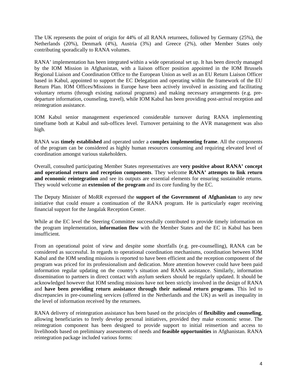The UK represents the point of origin for 44% of all RANA returnees, followed by Germany (25%), the Netherlands (20%), Denmark (4%), Austria (3%) and Greece (2%), other Member States only contributing sporadically to RANA volumes.

RANA' implementation has been integrated within a wide operational set up. It has been directly managed by the IOM Mission in Afghanistan, with a liaison officer position appointed in the IOM Brussels Regional Liaison and Coordination Office to the European Union as well as an EU Return Liaison Officer based in Kabul, appointed to support the EC Delegation and operating within the framework of the EU Return Plan. IOM Offices/Missions in Europe have been actively involved in assisting and facilitating voluntary returns (through existing national programs) and making necessary arrangements (e.g. predeparture information, counseling, travel), while IOM Kabul has been providing post-arrival reception and reintegration assistance.

IOM Kabul senior management experienced considerable turnover during RANA implementing timeframe both at Kabul and sub-offices level. Turnover pertaining to the AVR management was also high.

RANA was **timely established** and operated under a **complex implementing frame**. All the components of the program can be considered as highly human resources consuming and requiring elevated level of coordination amongst various stakeholders.

Overall, consulted participating Member States representatives are **very positive about RANA' concept and operational return and reception components**. They welcome **RANA' attempts to link return and economic reintegration** and see its outputs are essential elements for ensuring sustainable returns. They would welcome an **extension of the program** and its core funding by the EC.

The Deputy Minister of MoRR expressed the **support of the Government of Afghanistan** to any new initiative that could ensure a continuation of the RANA program. He is particularly eager receiving financial support for the Jangalak Reception Center.

While at the EC level the Steering Committee successfully contributed to provide timely information on the program implementation, **information flow** with the Member States and the EC in Kabul has been insufficient.

From an operational point of view and despite some shortfalls (e.g. pre-counselling), RANA can be considered as successful. In regards to operational coordination mechanisms, coordination between IOM Kabul and the IOM sending missions is reported to have been efficient and the reception component of the program was priced for its professionalism and dedication. More attention however could have been paid information regular updating on the country's situation and RANA assistance. Similarly, information dissemination to partners in direct contact with asylum seekers should be regularly updated. It should be acknowledged however that IOM sending missions have not been strictly involved in the design of RANA and **have been providing return assistance through their national return programs**. This led to discrepancies in pre-counseling services (offered in the Netherlands and the UK) as well as inequality in the level of information received by the returnees.

RANA delivery of reintegration assistance has been based on the principles of **flexibility and counseling**, allowing beneficiaries to freely develop personal initiatives, provided they make economic sense. The reintegration component has been designed to provide support to initial reinsertion and access to livelihoods based on preliminary assessments of needs and **feasible opportunities** in Afghanistan. RANA reintegration package included various forms: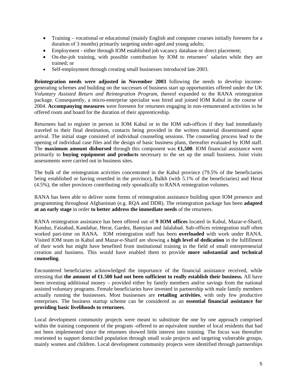- Training vocational or educational (mainly English and computer courses initially foreseen for a duration of 3 months) primarily targeting under-aged and young adults;
- Employment either through IOM established job vacancy database or direct placement;
- On-the-job training, with possible contribution by IOM to returnees' salaries while they are trained; or
- Self-employment through creating small businesses introduced late 2003.

**Reintegration needs were adjusted in November 2003** following the needs to develop incomegenerating schemes and building on the successes of business start up opportunities offered under the UK *Voluntary Assisted Return and Reintegration Program*, thereof expanded to the RANA reintegration package. Consequently, a micro-enterprise specialist was hired and joined IOM Kabul in the course of 2004. **Accompanying measures** were foreseen for returnees engaging in non-remunerated activities to be offered room and board for the duration of their apprenticeship.

Returnees had to register in person in IOM Kabul or in the IOM sub-offices if they had immediately traveled to their final destination, contacts being provided in the written material disseminated upon arrival. The initial stage consisted of individual counseling sessions. The counseling process lead to the opening of individual case files and the design of basic business plans, thereafter evaluated by IOM staff. The **maximum amount disbursed** through this component was **€1,500**. IOM financial assistance went primarily to **buying equipment and products** necessary to the set up the small business. Joint visits assessments were carried out in business sites.

The bulk of the reintegration activities concentrated in the Kabul province (79.5% of the beneficiaries being established or having resettled in the province), Balkh (with 5.1% of the beneficiaries) and Herat (4.5%), the other provinces contributing only sporadically to RANA reintegration volumes.

RANA has been able to deliver some forms of reintegration assistance building upon IOM presence and programming throughout Afghanistan (e.g. RQA and DDR). The reintegration package has been **adapted at an early stage** in order **to better address the immediate needs** of the returnees.

RANA reintegration assistance has been offered out of **9 IOM offices** located in Kabul, Mazar-e-Sharif, Kunduz, Faizabad, Kandahar, Herat, Gardez, Bamyian and Jalalabad. Sub-offices reintegration staff often worked part-time on RANA. IOM reintegration staff has been **overloaded** with work under RANA. Visited IOM team in Kabul and Mazar-e-Sharif are showing a **high level of dedication** in the fulfillment of their work but might have benefited from institutional training in the field of small entrepreneurial creation and business. This would have enabled them to provide **more substantial and technical counseling**.

Encountered beneficiaries acknowledged the importance of the financial assistance received, while stressing that **the amount of €1.500 had not been sufficient to really establish their business.** All have been investing additional money – provided either by family members and/or savings from the national assisted voluntary programs. Female beneficiaries have invested in partnership with male family members actually running the businesses. Most businesses are **retailing activities**, with only few productive enterprises. The business startup scheme can be considered as an **essential financial assistance for providing basic livelihoods to returnees**.

Local development community projects were meant to substitute the one by one approach comprised within the training component of the program -offered to an equivalent number of local residents that had not been implemented since the returnees showed little interest into training. The focus was thereafter reoriented to support domiciled population through small scale projects and targeting vulnerable groups, mainly women and children. Local development community projects were identified through partnerships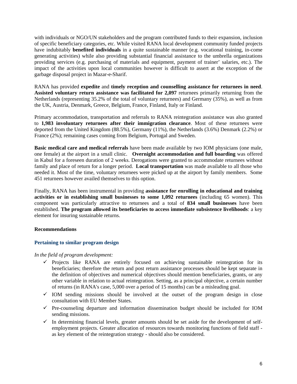with individuals or NGO/UN stakeholders and the program contributed funds to their expansion, inclusion of specific beneficiary categories, etc. While visited RANA local development community funded projects have indubitably **benefited individuals** in a quite sustainable manner (e.g. vocational training, in-come generating activities) while also providing substantial financial assistance to the umbrella organizations providing services (e.g. purchasing of materials and equipment, payment of trainer' salaries, etc.). The impact of the activities upon local communities however is difficult to assert at the exception of the garbage disposal project in Mazar-e-Sharif.

RANA has provided **expedite** and **timely reception and counselling assistance for returnees in need**. **Assisted voluntary return assistance was facilitated for 2,097** returnees primarily returning from the Netherlands (representing 35.2% of the total of voluntary returnees) and Germany (35%), as well as from the UK, Austria, Denmark, Greece, Belgium, France, Finland, Italy or Finland.

Primary accommodation, transportation and referrals to RANA reintegration assistance was also granted to **1,983 involuntary returnees after their immigration clearance**. Most of these returnees were deported from the United Kingdom (88.5%), Germany (11%), the Netherlands (3.6%) Denmark (2.2%) or France (2%); remaining cases coming from Belgium, Portugal and Sweden.

**Basic medical care and medical referrals** have been made available by two IOM physicians (one male, one female) at the airport in a small clinic. **Overnight accommodation and full boarding** was offered in Kabul for a foreseen duration of 2 weeks. Derogations were granted to accommodate returnees without family and place of return for a longer period. **Local transportation** was made available to all those who needed it. Most of the time, voluntary returnees were picked up at the airport by family members. Some 451 returnees however availed themselves to this option.

Finally, RANA has been instrumental in providing **assistance for enrolling in educational and training activities or in establishing small businesses to some 1,092 returnees** (including 65 women). This component was particularly attractive to returnees and a total of **834 small businesses** have been established. **The program allowed its beneficiaries to access immediate subsistence livelihoods**: a key element for insuring sustainable returns.

## **Recommendations**

## **Pertaining to similar program design**

## *In the field of program development:*

- $\checkmark$  Projects like RANA are entirely focused on achieving sustainable reintegration for its beneficiaries; therefore the return and post return assistance processes should be kept separate in the definition of objectives and numerical objectives should mention beneficiaries, grants, or any other variable in relation to actual reintegration. Setting, as a principal objective, a certain number of returns (in RANA's case, 5,000 over a period of 15 months) can be a misleading goal.
- $\checkmark$  IOM sending missions should be involved at the outset of the program design in close consultation with EU Member States.
- $\checkmark$  Pre-counseling departure and information dissemination budget should be included for IOM sending missions.
- $\checkmark$  In determining financial levels, greater amounts should be set aside for the development of selfemployment projects. Greater allocation of resources towards monitoring functions of field staff as key element of the reintegration strategy - should also be considered.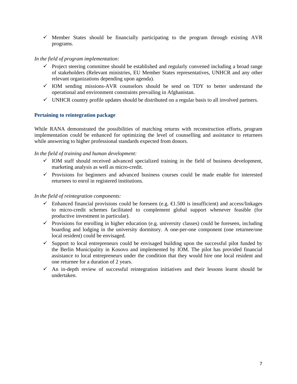$\checkmark$  Member States should be financially participating to the program through existing AVR programs.

## *In the field of program implementation:*

- $\checkmark$  Project steering committee should be established and regularly convened including a broad range of stakeholders (Relevant ministries, EU Member States representatives, UNHCR and any other relevant organizations depending upon agenda).
- $\checkmark$  IOM sending missions-AVR counselors should be send on TDY to better understand the operational and environment constraints prevailing in Afghanistan.
- $\checkmark$  UNHCR country profile updates should be distributed on a regular basis to all involved partners.

## **Pertaining to reintegration package**

While RANA demonstrated the possibilities of matching returns with reconstruction efforts, program implementation could be enhanced for optimizing the level of counselling and assistance to returnees while answering to higher professional standards expected from donors.

## *In the field of training and human development:*

- $\checkmark$  IOM staff should received advanced specialized training in the field of business development, marketing analysis as well as micro-credit.
- $\checkmark$  Provisions for beginners and advanced business courses could be made enable for interested returnees to enrol in registered institutions.

## *In the field of reintegration components:*

- $\checkmark$  Enhanced financial provisions could be foreseen (e.g.  $\in$  1.500 is insufficient) and access/linkages to micro-credit schemes facilitated to complement global support whenever feasible (for productive investment in particular).
- $\checkmark$  Provisions for enrolling in higher education (e.g. university classes) could be foreseen, including boarding and lodging in the university dormitory. A one-per-one component (one returnee/one local resident) could be envisaged.
- $\checkmark$  Support to local entrepreneurs could be envisaged building upon the successful pilot funded by the Berlin Municipality in Kosovo and implemented by IOM. The pilot has provided financial assistance to local entrepreneurs under the condition that they would hire one local resident and one returnee for a duration of 2 years.
- $\checkmark$  An in-depth review of successful reintegration initiatives and their lessons learnt should be undertaken.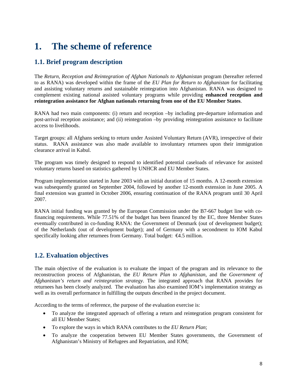# **1. The scheme of reference**

## **1.1. Brief program description**

The *Return, Reception and Reintegration of Afghan Nationals to Afghanistan* program (hereafter referred to as RANA) was developed within the frame of the *EU Plan for Return to Afghanistan* for facilitating and assisting voluntary returns and sustainable reintegration into Afghanistan. RANA was designed to complement existing national assisted voluntary programs while providing **enhanced reception and reintegration assistance for Afghan nationals returning from one of the EU Member States**.

RANA had two main components: (i) return and reception –by including pre-departure information and post-arrival reception assistance; and (ii) reintegration –by providing reintegration assistance to facilitate access to livelihoods.

Target groups: all Afghans seeking to return under Assisted Voluntary Return (AVR), irrespective of their status. RANA assistance was also made available to involuntary returnees upon their immigration clearance arrival in Kabul.

The program was timely designed to respond to identified potential caseloads of relevance for assisted voluntary returns based on statistics gathered by UNHCR and EU Member States.

Program implementation started in June 2003 with an initial duration of 15 months. A 12-month extension was subsequently granted on September 2004, followed by another 12-month extension in June 2005. A final extension was granted in October 2006, ensuring continuation of the RANA program until 30 April 2007.

RANA initial funding was granted by the European Commission under the B7-667 budget line with cofinancing requirements. While 77.51% of the budget has been financed by the EC, three Member States eventually contributed in co-funding RANA: the Government of Denmark (out of development budget); of the Netherlands (out of development budget); and of Germany with a secondment to IOM Kabul specifically looking after returnees from Germany. Total budget: €4.5 million.

## **1.2. Evaluation objectives**

The main objective of the evaluation is to evaluate the impact of the program and its relevance to the reconstruction process of Afghanistan, the *EU Return Plan to Afghanistan*, and the *Government of Afghanistan's return and reintegration strategy*. The integrated approach that RANA provides for returnees has been closely analyzed. The evaluation has also examined IOM's implementation strategy as well as its overall performance in fulfilling the outputs described in the project document.

According to the terms of reference, the purpose of the evaluation exercise is:

- To analyze the integrated approach of offering a return and reintegration program consistent for all EU Member States;
- To explore the ways in which RANA contributes to the *EU Return Plan*;
- To analyze the cooperation between EU Member States governments, the Government of Afghanistan's Ministry of Refugees and Repatriation, and IOM;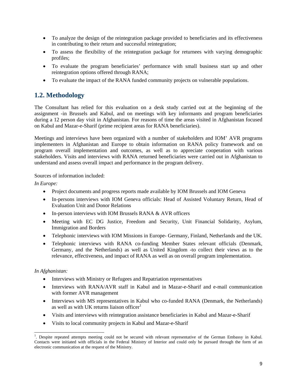- To analyze the design of the reintegration package provided to beneficiaries and its effectiveness in contributing to their return and successful reintegration;
- To assess the flexibility of the reintegration package for returnees with varying demographic profiles;
- To evaluate the program beneficiaries' performance with small business start up and other reintegration options offered through RANA;
- To evaluate the impact of the RANA funded community projects on vulnerable populations.

# **1.2. Methodology**

The Consultant has relied for this evaluation on a desk study carried out at the beginning of the assignment -in Brussels and Kabul, and on meetings with key informants and program beneficiaries during a 12 person day visit in Afghanistan. For reasons of time the areas visited in Afghanistan focused on Kabul and Mazar-e-Sharif (prime recipient areas for RANA beneficiaries).

Meetings and interviews have been organized with a number of stakeholders and IOM' AVR programs implementers in Afghanistan and Europe to obtain information on RANA policy framework and on program overall implementation and outcomes, as well as to appreciate cooperation with various stakeholders. Visits and interviews with RANA returned beneficiaries were carried out in Afghanistan to understand and assess overall impact and performance in the program delivery.

Sources of information included:

*In Europe:* 

- Project documents and progress reports made available by IOM Brussels and IOM Geneva
- In-persons interviews with IOM Geneva officials: Head of Assisted Voluntary Return, Head of Evaluation Unit and Donor Relations
- In-person interviews with IOM Brussels RANA & AVR officers
- Meeting with EC DG Justice, Freedom and Security, Unit Financial Solidarity, Asylum, Immigration and Borders
- Telephonic interviews with IOM Missions in Europe-Germany, Finland, Netherlands and the UK.
- Telephonic interviews with RANA co-funding Member States relevant officials (Denmark, Germany, and the Netherlands) as well as United Kingdom -to collect their views as to the relevance, effectiveness, and impact of RANA as well as on overall program implementation.

## *In Afghanistan:*

l

- Interviews with Ministry or Refugees and Repatriation representatives
- Interviews with RANA/AVR staff in Kabul and in Mazar-e-Sharif and e-mail communication with former AVR management
- Interviews with MS representatives in Kabul who co-funded RANA (Denmark, the Netherlands) as well as with UK returns liaison officer<sup>1</sup>
- Visits and interviews with reintegration assistance beneficiaries in Kabul and Mazar-e-Sharif
- Visits to local community projects in Kabul and Mazar-e-Sharif

<sup>&</sup>lt;sup>1</sup>. Despite repeated attempts meeting could not be secured with relevant representative of the German Embassy in Kabul. Contacts were initiated with officials in the Federal Ministry of Interior and could only be pursued through the form of an electronic communication at the request of the Ministry.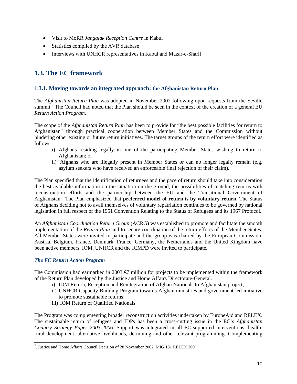- Visit to MoRR *Jangalak Reception Centre* in Kabul
- Statistics compiled by the AVR database
- Interviews with UNHCR representatives in Kabul and Mazar-e-Sharif

## **1.3. The EC framework**

## **1.3.1. Moving towards an integrated approach: the Afghanistan Return Plan**

The *Afghanistan Return Plan* was adopted in November 2002 following upon requests from the Seville summit.<sup>2</sup> The Council had noted that the Plan should be seen in the context of the creation of a general EU *Return Action Program*.

The scope of the *Afghanistan Return Plan* has been to provide for "the best possible facilities for return to Afghanistan" through practical cooperation between Member States and the Commission without hindering other existing or future return initiatives. The target groups of the return effort were identified as follows:

- i) Afghans residing legally in one of the participating Member States wishing to return to Afghanistan; or
- ii) Afghans who are illegally present in Member States or can no longer legally remain (e.g. asylum seekers who have received an enforceable final rejection of their claim).

The Plan specified that the identification of returnees and the pace of return should take into consideration the best available information on the situation on the ground, the possibilities of matching returns with reconstruction efforts and the partnership between the EU and the Transitional Government of Afghanistan. The Plan emphasized that **preferred model of return is by voluntary return**. The Status of Afghans deciding not to avail themselves of voluntary repatriation continues to be governed by national legislation in full respect of the 1951 Convention Relating to the Status of Refugees and its 1967 Protocol.

An *Afghanistan Coordination Return Group* (ACRG) was established to promote and facilitate the smooth implementation of the *Return Plan* and to secure coordination of the return efforts of the Member States. All Member States were invited to participate and the group was chaired by the European Commission. Austria, Belgium, France, Denmark, France, Germany, the Netherlands and the United Kingdom have been active members. IOM, UNHCR and the ICMPD were invited to participate.

## *The EC Return Action Program*

The Commission had earmarked in 2003  $\epsilon$  million for projects to be implemented within the framework of the Return Plan developed by the Justice and Home Affairs Directorate-General.

- i) IOM Return, Reception and Reintegration of Afghan Nationals to Afghanistan project;
- ii) UNHCR Capacity Building Program towards Afghan ministries and government-led initiative to promote sustainable returns;
- iii) IOM Return of Qualified Nationals.

The Program was complementing broader reconstruction activities undertaken by EuropeAid and RELEX. The sustainable return of refugees and IDPs has been a cross-cutting issue in the EC's *Afghanistan Country Strategy Paper 2003-2006*. Support was integrated in all EC-supported interventions: health, rural development, alternative livelihoods, de-mining and other relevant programming. Complementing

 2 . Justice and Home Affairs Council Decision of 28 November 2002, MIG 131 RELEX 269.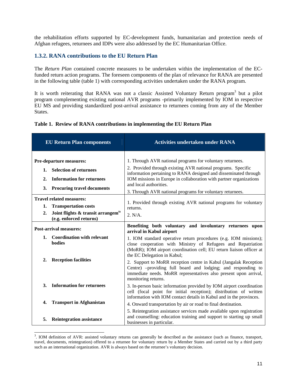the rehabilitation efforts supported by EC-development funds, humanitarian and protection needs of Afghan refugees, returnees and IDPs were also addressed by the EC Humanitarian Office.

## **1.3.2. RANA contributions to the EU Return Plan**

The *Return Plan* contained concrete measures to be undertaken within the implementation of the ECfunded return action programs. The foreseen components of the plan of relevance for RANA are presented in the following table (table 1) with corresponding activities undertaken under the RANA program.

It is worth reiterating that RANA was not a classic Assisted Voluntary Return program<sup>3</sup> but a pilot program complementing existing national AVR programs -primarily implemented by IOM in respective EU MS and providing standardized post-arrival assistance to returnees coming from any of the Member States.

|  |  |  |  |  | Table 1. Review of RANA contributions in implementing the EU Return Plan |
|--|--|--|--|--|--------------------------------------------------------------------------|
|--|--|--|--|--|--------------------------------------------------------------------------|

|                              | <b>EU Return Plan components</b>                                                                                                            | <b>Activities undertaken under RANA</b>                                                                                                                                                                                                                                                                                                                    |
|------------------------------|---------------------------------------------------------------------------------------------------------------------------------------------|------------------------------------------------------------------------------------------------------------------------------------------------------------------------------------------------------------------------------------------------------------------------------------------------------------------------------------------------------------|
| 1.<br>$\overline{2}$ .<br>3. | <b>Pre-departure measures:</b><br><b>Selection of returnees</b><br><b>Information for returnees</b><br><b>Procuring travel documents</b>    | 1. Through AVR national programs for voluntary returnees.<br>2. Provided through existing AVR national programs. Specific<br>information pertaining to RANA designed and disseminated through<br>IOM missions in Europe in collaboration with partner organizations<br>and local authorities.<br>3. Through AVR national programs for voluntary returnees. |
| 1.<br>$\overline{2}$ .       | <b>Travel related measures:</b><br><b>Transportation costs</b><br>Joint flights & transit arrangem <sup>ts</sup><br>(e.g. enforced returns) | 1. Provided through existing AVR national programs for voluntary<br>returns.<br>2. N/A.                                                                                                                                                                                                                                                                    |
|                              | <b>Post-arrival measures:</b>                                                                                                               | Benefiting both voluntary and involuntary returnees upon<br>arrival in Kabul airport                                                                                                                                                                                                                                                                       |
| 1.                           | <b>Coordination with relevant</b><br><b>bodies</b>                                                                                          | 1. IOM standard operative return procedures (e.g. IOM missions);<br>close cooperation with Ministry of Refugees and Repatriation<br>(MoRR); IOM airport coordination cell; EU return liaison officer at                                                                                                                                                    |
| $\overline{2}$ .             | <b>Reception facilities</b>                                                                                                                 | the EC Delegation in Kabul;<br>2. Support to MoRR reception centre in Kabul (Jangalak Reception<br>Centre) -providing full board and lodging; and responding to<br>immediate needs. MoRR representatives also present upon arrival,<br>monitoring returns.                                                                                                 |
| 3.                           | <b>Information for returnees</b>                                                                                                            | 3. In-person basic information provided by IOM airport coordination<br>cell (focal point for initial reception); distribution of written<br>information with IOM contact details in Kabul and in the provinces.                                                                                                                                            |
| 4.                           | <b>Transport in Afghanistan</b>                                                                                                             | 4. Onward transportation by air or road to final destination.                                                                                                                                                                                                                                                                                              |
| 5.                           | <b>Reintegration assistance</b>                                                                                                             | 5. Reintegration assistance services made available upon registration<br>and counselling: education training and support to starting up small<br>businesses in particular.                                                                                                                                                                                 |

 3 . IOM definition of AVR: assisted voluntary returns can generally be described as the assistance (such as finance, transport, travel, documents, reintegration) offered to a returnee for voluntary return by a Member States and carried out by a third party such as an international organization. AVR is always based on the returnee's voluntary decision.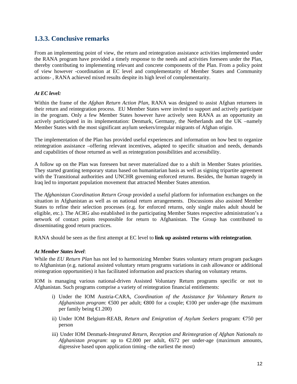## **1.3.3. Conclusive remarks**

From an implementing point of view, the return and reintegration assistance activities implemented under the RANA program have provided a timely response to the needs and activities foreseen under the Plan, thereby contributing to implementing relevant and concrete components of the Plan. From a policy point of view however -coordination at EC level and complementarity of Member States and Community actions- , RANA achieved mixed results despite its high level of complementarity.

## *At EC level:*

Within the frame of the *Afghan Return Action Plan*, RANA was designed to assist Afghan returnees in their return and reintegration process. EU Member States were invited to support and actively participate in the program. Only a few Member States however have actively seen RANA as an opportunity an actively participated in its implementation: Denmark, Germany, the Netherlands and the UK –namely Member States with the most significant asylum seekers/irregular migrants of Afghan origin.

The implementation of the Plan has provided useful experiences and information on how best to organize reintegration assistance –offering relevant incentives, adapted to specific situation and needs, demands and capabilities of those returned as well as reintegration possibilities and accessibility.

A follow up on the Plan was foreseen but never materialized due to a shift in Member States priorities. They started granting temporary status based on humanitarian basis as well as signing tripartite agreement with the Transitional authorities and UNCHR governing enforced returns. Besides, the human tragedy in Iraq led to important population movement that attracted Member States attention.

The *Afghanistan Coordination Return Group* provided a useful platform for information exchanges on the situation in Afghanistan as well as on national return arrangements. Discussions also assisted Member States to refine their selection processes (e.g. for enforced returns, only single males adult should be eligible, etc.). The ACRG also established in the participating Member States respective administration's a network of contact points responsible for return to Afghanistan. The Group has contributed to disseminating good return practices.

RANA should be seen as the first attempt at EC level to **link up assisted returns with reintegration**.

## *At Member States level*:

While the *EU Return Plan* has not led to harmonizing Member States voluntary return program packages to Afghanistan (e.g. national assisted voluntary return programs variations in cash allowance or additional reintegration opportunities) it has facilitated information and practices sharing on voluntary returns.

IOM is managing various national-driven Assisted Voluntary Return programs specific or not to Afghanistan. Such programs comprise a variety of reintegration financial entitlements:

- i) Under the IOM Austria-CARA, *Coordination of the Assistance for Voluntary Return to Afghanistan program*: €500 per adult; €800 for a couple; €100 per under-age (the maximum per family being €1.200)
- ii) Under IOM Belgium-REAB, *Return and Emigration of Asylum Seekers* program: €750 per person
- iii) Under IOM Denmark-*Integrated Return, Reception and Reintegration of Afghan Nationals to Afghanistan program*: up to  $\epsilon 2.000$  per adult,  $\epsilon 672$  per under-age (maximum amounts, digressive based upon application timing –the earliest the most)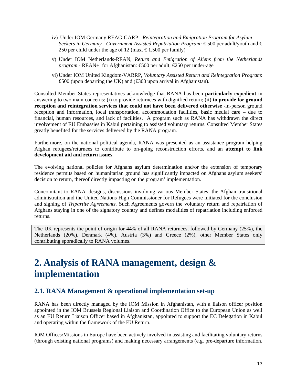- iv) Under IOM Germany REAG-GARP *Reintegration and Emigration Program for Asylum-Seekers in Germany - Government Assisted Repatriation Program:* €500 per adult/youth and € 250 per child under the age of 12 (max.  $\epsilon$ 1.500 per family)
- v) Under IOM Netherlands-REAN, *Return and Emigration of Aliens from the Netherlands program* - REAN+ for Afghanistan:  $\text{\textsterling}500$  per adult;  $\text{\textsterling}250$  per under-age
- vi) Under IOM United Kingdom-VARRP, *Voluntary Assisted Return and Reintegration Program*: £500 (upon departing the UK) and (£300 upon arrival in Afghanistan).

Consulted Member States representatives acknowledge that RANA has been **particularly expedient** in answering to two main concerns: (i) to provide returnees with dignified return; (ii) **to provide for ground reception and reintegration services that could not have been delivered otherwise** -in-person ground reception and information, local transportation, accommodation facilities, basic medial care – due to financial, human resources, and lack of facilities. A program such as RANA has withdrawn the direct involvement of EU Embassies in Kabul pertaining to assisted voluntary returns. Consulted Member States greatly benefited for the services delivered by the RANA program.

Furthermore, on the national political agenda, RANA was presented as an assistance program helping Afghan refugees/returnees to contribute to on-going reconstruction efforts, and an **attempt to link development aid and return issues**.

The evolving national policies for Afghans asylum determination and/or the extension of temporary residence permits based on humanitarian ground has significantly impacted on Afghans asylum seekers' decision to return, thereof directly impacting on the program' implementation.

Concomitant to RANA' designs, discussions involving various Member States, the Afghan transitional administration and the United Nations High Commissioner for Refugees were initiated for the conclusion and signing of *Tripartite Agreements.* Such Agreements govern the voluntary return and repatriation of Afghans staying in one of the signatory country and defines modalities of repatriation including enforced returns.

The UK represents the point of origin for 44% of all RANA returnees, followed by Germany (25%), the Netherlands (20%), Denmark (4%), Austria (3%) and Greece (2%), other Member States only contributing sporadically to RANA volumes.

# **2. Analysis of RANA management, design & implementation**

## **2.1. RANA Management & operational implementation set-up**

RANA has been directly managed by the IOM Mission in Afghanistan, with a liaison officer position appointed in the IOM Brussels Regional Liaison and Coordination Office to the European Union as well as an EU Return Liaison Officer based in Afghanistan, appointed to support the EC Delegation in Kabul and operating within the framework of the EU Return.

IOM Offices/Missions in Europe have been actively involved in assisting and facilitating voluntary returns (through existing national programs) and making necessary arrangements (e.g. pre-departure information,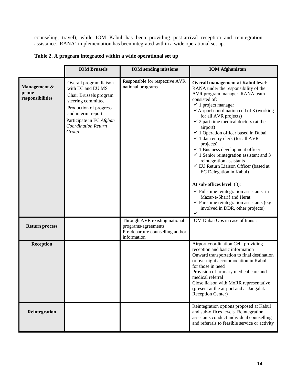counseling, travel), while IOM Kabul has been providing post-arrival reception and reintegration assistance. RANA' implementation has been integrated within a wide operational set up.

| Table 2. A program integrated within a wide operational set up |  |  |
|----------------------------------------------------------------|--|--|
|----------------------------------------------------------------|--|--|

|                                           | <b>IOM Brussels</b>                                                                                                                                                                                             | <b>IOM</b> sending missions                                                                             | <b>IOM</b> Afghanistan                                                                                                                                                                                                                                                                                                                                                                                                                                                                                                                                                                                                                                                                                                                                                                                                                                          |
|-------------------------------------------|-----------------------------------------------------------------------------------------------------------------------------------------------------------------------------------------------------------------|---------------------------------------------------------------------------------------------------------|-----------------------------------------------------------------------------------------------------------------------------------------------------------------------------------------------------------------------------------------------------------------------------------------------------------------------------------------------------------------------------------------------------------------------------------------------------------------------------------------------------------------------------------------------------------------------------------------------------------------------------------------------------------------------------------------------------------------------------------------------------------------------------------------------------------------------------------------------------------------|
| Management &<br>prime<br>responsibilities | Overall program liaison<br>with EC and EU MS<br>Chair Brussels program<br>steering committee<br>Production of progress<br>and interim report<br>Participate in EC Afghan<br><b>Coordination Return</b><br>Group | Responsible for respective AVR<br>national programs                                                     | <b>Overall management at Kabul level:</b><br>RANA under the responsibility of the<br>AVR program manager. RANA team<br>consisted of:<br>$\checkmark$ 1 project manager<br>$\checkmark$ Airport coordination cell of 3 (working<br>for all AVR projects)<br>$\checkmark$ 2 part time medical doctors (at the<br>airport)<br>$\checkmark$ 1 Operation officer based in Dubai<br>$\checkmark$ 1 data entry clerk (for all AVR<br>projects)<br>$\checkmark$ 1 Business development officer<br>$\checkmark$ 1 Senior reintegration assistant and 3<br>reintegration assistants<br>✓ EU Return Liaison Officer (based at<br>EC Delegation in Kabul)<br>At sub-offices level: (8):<br>$\checkmark$ Full-time reintegration assistants in<br>Mazar-e-Sharif and Herat<br>$\checkmark$ Part-time reintegration assistants (e.g.<br>involved in DDR, other projects)<br>✓ |
| <b>Return process</b>                     |                                                                                                                                                                                                                 | Through AVR existing national<br>programs/agreements<br>Pre-departure counselling and/or<br>information | IOM Dubai Ops in case of transit                                                                                                                                                                                                                                                                                                                                                                                                                                                                                                                                                                                                                                                                                                                                                                                                                                |
| <b>Reception</b>                          |                                                                                                                                                                                                                 |                                                                                                         | Airport coordination Cell providing<br>reception and basic information<br>Onward transportation to final destination<br>or overnight accommodation in Kabul<br>for those in need<br>Provision of primary medical care and<br>medical referral<br>Close liaison with MoRR representative<br>(present at the airport and at Jangalak<br>Reception Center)                                                                                                                                                                                                                                                                                                                                                                                                                                                                                                         |
| Reintegration                             |                                                                                                                                                                                                                 |                                                                                                         | Reintegration options proposed at Kabul<br>and sub-offices levels. Reintegration<br>assistants conduct individual counselling<br>and referrals to feasible service or activity                                                                                                                                                                                                                                                                                                                                                                                                                                                                                                                                                                                                                                                                                  |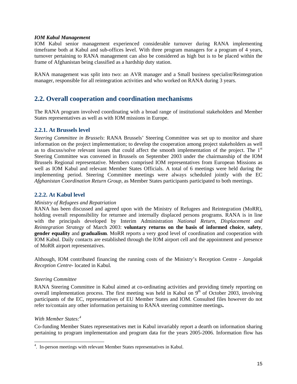## *IOM Kabul Management*

IOM Kabul senior management experienced considerable turnover during RANA implementing timeframe both at Kabul and sub-offices level. With three program managers for a program of 4 years, turnover pertaining to RANA management can also be considered as high but is to be placed within the frame of Afghanistan being classified as a hardship duty station.

RANA management was split into two: an AVR manager and a Small business specialist/Reintegration manager, responsible for all reintegration activities and who worked on RANA during 3 years.

## **2.2. Overall cooperation and coordination mechanisms**

The RANA program involved coordinating with a broad range of institutional stakeholders and Member States representatives as well as with IOM missions in Europe.

## **2.2.1. At Brussels level**

*Steering Committee in Brussels*: RANA Brussels' Steering Committee was set up to monitor and share information on the project implementation; to develop the cooperation among project stakeholders as well as to discuss/solve relevant issues that could affect the smooth implementation of the project. The 1<sup>st</sup> Steering Committee was convened in Brussels on September 2003 under the chairmanship of the IOM Brussels Regional representative. Members comprised IOM representatives from European Missions as well as IOM Kabul and relevant Member States Officials. A total of 6 meetings were held during the implementing period. Steering Committee meetings were always scheduled jointly with the EC *Afghanistan Coordination Return Group,* as Member States participants participated to both meetings.

## **2.2.2. At Kabul level**

## *Ministry of Refugees and Repatriation*

RANA has been discussed and agreed upon with the Ministry of Refugees and Reintegration (MoRR), holding overall responsibility for returnee and internally displaced persons programs. RANA is in line with the principals developed by Interim Administration *National Return, Displacement and Reintegration Strategy* of March 2003: **voluntary returns on the basis of informed choice**, **safety**, **gender equality** and **gradualism**. MoRR reports a very good level of coordination and cooperation with IOM Kabul. Daily contacts are established through the IOM airport cell and the appointment and presence of MoRR airport representatives.

Although, IOM contributed financing the running costs of the Ministry's Reception Centre - *Jangalak Reception Centre*- located in Kabul*.* 

## *Steering Committee*

RANA Steering Committee in Kabul aimed at co-ordinating activities and providing timely reporting on overall implementation process. The first meeting was held in Kabul on  $9<sup>th</sup>$  of October 2003, involving participants of the EC, representatives of EU Member States and IOM. Consulted files however do not refer to/contain any other information pertaining to RANA steering committee meetings**.**

## *With Member States:<sup>4</sup>*

Co-funding Member States representatives met in Kabul invariably report a dearth on information sharing pertaining to program implementation and program data for the years 2005-2006. Information flow has

 4 . In-person meetings with relevant Member States representatives in Kabul.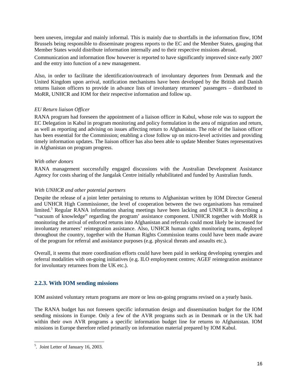been uneven, irregular and mainly informal. This is mainly due to shortfalls in the information flow, IOM Brussels being responsible to disseminate progress reports to the EC and the Member States, gauging that Member States would distribute information internally and to their respective missions abroad.

Communication and information flow however is reported to have significantly improved since early 2007 and the entry into function of a new management.

Also, in order to facilitate the identification/outreach of involuntary deportees from Denmark and the United Kingdom upon arrival, notification mechanisms have been developed by the British and Danish returns liaison officers to provide in advance lists of involuntary returnees' passengers – distributed to MoRR, UNHCR and IOM for their respective information and follow up.

## *EU Return liaison Officer*

RANA program had foreseen the appointment of a liaison officer in Kabul, whose role was to support the EC Delegation in Kabul in program monitoring and policy formulation in the area of migration and return, as well as reporting and advising on issues affecting return to Afghanistan. The role of the liaison officer has been essential for the Commission; enabling a close follow up on micro-level activities and providing timely information updates. The liaison officer has also been able to update Member States representatives in Afghanistan on program progress.

## *With other donors*

RANA management successfully engaged discussions with the Australian Development Assistance Agency for costs sharing of the Jangalak Centre initially rehabilitated and funded by Australian funds.

## *With UNHCR and other potential partners*

Despite the release of a joint letter pertaining to returns to Afghanistan written by IOM Director General and UNHCR High Commissioner, the level of cooperation between the two organisations has remained limited.<sup>5</sup> Regular RANA information sharing meetings have been lacking and UNHCR is describing a "vacuum of knowledge" regarding the program' assistance component. UNHCR together with MoRR is monitoring the arrival of enforced returns into Afghanistan and referrals could most likely be increased for involuntary returnees' reintegration assistance. Also, UNHCR human rights monitoring teams, deployed throughout the country, together with the Human Rights Commission teams could have been made aware of the program for referral and assistance purposes (e.g. physical threats and assaults etc.).

Overall, it seems that more coordination efforts could have been paid in seeking developing synergies and referral modalities with on-going initiatives (e.g. ILO employment centres; AGEF reintegration assistance for involuntary returnees from the UK etc.).

## **2.2.3. With IOM sending missions**

IOM assisted voluntary return programs are more or less on-going programs revised on a yearly basis.

The RANA budget has not foreseen specific information design and dissemination budget for the IOM sending missions in Europe. Only a few of the AVR programs such as in Denmark or in the UK had within their own AVR programs a specific information budget line for returns to Afghanistan. IOM missions in Europe therefore relied primarily on information material prepared by IOM Kabul.

 5 . Joint Letter of January 16, 2003.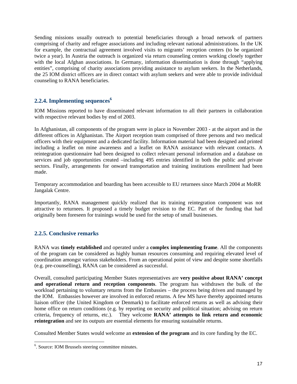Sending missions usually outreach to potential beneficiaries through a broad network of partners comprising of charity and refugee associations and including relevant national administrations. In the UK for example, the contractual agreement involved visits to migrants' reception centers (to be organized twice a year). In Austria the outreach is organized via return counseling centers working closely together with the local Afghan associations. In Germany, information dissemination is done through "applying entities", comprising of charity associations providing assistance to asylum seekers. In the Netherlands, the 25 IOM district officers are in direct contact with asylum seekers and were able to provide individual counseling to RANA beneficiaries.

## **2.2.4. Implementing sequences<sup>6</sup>**

IOM Missions reported to have disseminated relevant information to all their partners in collaboration with respective relevant bodies by end of 2003.

In Afghanistan, all components of the program were in place in November 2003 - at the airport and in the different offices in Afghanistan. The Airport reception team comprised of three persons and two medical officers with their equipment and a dedicated facility. Information material had been designed and printed including a leaflet on mine awareness and a leaflet on RANA assistance with relevant contacts. A reintegration questionnaire had been designed to collect relevant personal information and a database on services and job opportunities created –including 495 entries identified in both the public and private sectors. Finally, arrangements for onward transportation and training institutions enrollment had been made.

Temporary accommodation and boarding has been accessible to EU returnees since March 2004 at MoRR Jangalak Centre.

Importantly, RANA management quickly realized that its training reintegration component was not attractive to returnees. It proposed a timely budget revision to the EC. Part of the funding that had originally been foreseen for trainings would be used for the setup of small businesses.

## **2.2.5. Conclusive remarks**

RANA was **timely established** and operated under a **complex implementing frame**. All the components of the program can be considered as highly human resources consuming and requiring elevated level of coordination amongst various stakeholders. From an operational point of view and despite some shortfalls (e.g. pre-counselling), RANA can be considered as successful.

Overall, consulted participating Member States representatives are **very positive about RANA' concept and operational return and reception components**. The program has withdrawn the bulk of the workload pertaining to voluntary returns from the Embassies – the process being driven and managed by the IOM. Embassies however are involved in enforced returns. A few MS have thereby appointed returns liaison officer (the United Kingdom or Denmark) to facilitate enforced returns as well as advising their home office on return conditions (e.g. by reporting on security and political situation; advising on return criteria, frequency of returns, etc.). They welcome **RANA' attempts to link return and economic reintegration** and see its outputs are essential elements for ensuring sustainable returns.

Consulted Member States would welcome an **extension of the program** and its core funding by the EC.

 6 . Source: IOM Brussels steering committee minutes.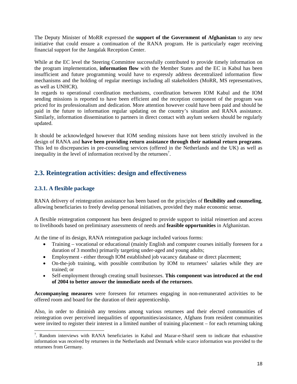The Deputy Minister of MoRR expressed the **support of the Government of Afghanistan** to any new initiative that could ensure a continuation of the RANA program. He is particularly eager receiving financial support for the Jangalak Reception Center.

While at the EC level the Steering Committee successfully contributed to provide timely information on the program implementation, **information flow** with the Member States and the EC in Kabul has been insufficient and future programming would have to expressly address decentralized information flow mechanisms and the holding of regular meetings including all stakeholders (MoRR, MS representatives, as well as UNHCR).

In regards to operational coordination mechanisms, coordination between IOM Kabul and the IOM sending missions is reported to have been efficient and the reception component of the program was priced for its professionalism and dedication. More attention however could have been paid and should be paid in the future to information regular updating on the country's situation and RANA assistance. Similarly, information dissemination to partners in direct contact with asylum seekers should be regularly updated.

It should be acknowledged however that IOM sending missions have not been strictly involved in the design of RANA and **have been providing return assistance through their national return programs**. This led to discrepancies in pre-counseling services (offered in the Netherlands and the UK) as well as inequality in the level of information received by the returnees<sup>7</sup>.

## **2.3. Reintegration activities: design and effectiveness**

## **2.3.1. A flexible package**

l

RANA delivery of reintegration assistance has been based on the principles of **flexibility and counseling**, allowing beneficiaries to freely develop personal initiatives, provided they make economic sense.

A flexible reintegration component has been designed to provide support to initial reinsertion and access to livelihoods based on preliminary assessments of needs and **feasible opportunities** in Afghanistan.

At the time of its design, RANA reintegration package included various forms:

- Training vocational or educational (mainly English and computer courses initially foreseen for a duration of 3 months) primarily targeting under-aged and young adults;
- Employment either through IOM established job vacancy database or direct placement;
- On-the-job training, with possible contribution by IOM to returnees' salaries while they are trained; or
- Self-employment through creating small businesses. **This component was introduced at the end of 2004 to better answer the immediate needs of the returnees**.

**Accompanying measures** were foreseen for returnees engaging in non-remunerated activities to be offered room and board for the duration of their apprenticeship.

Also, in order to diminish any tensions among various returnees and their elected communities of reintegration over perceived inequalities of opportunities/assistance, Afghans from resident communities were invited to register their interest in a limited number of training placement – for each returning taking

<sup>&</sup>lt;sup>7</sup>. Random interviews with RANA beneficiaries in Kabul and Mazar-e-Sharif seem to indicate that exhaustive information was received by returnees in the Netherlands and Denmark while scarce information was provided to the returnees from Germany.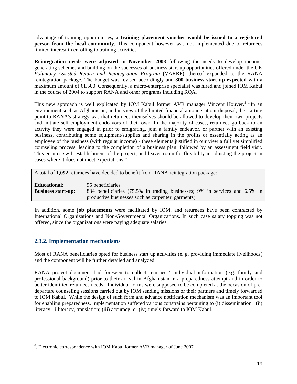advantage of training opportunities**, a training placement voucher would be issued to a registered person from the local community**. This component however was not implemented due to returnees limited interest in enrolling to training activities.

**Reintegration needs were adjusted in November 2003** following the needs to develop incomegenerating schemes and building on the successes of business start up opportunities offered under the UK *Voluntary Assisted Return and Reintegration Program* (VARRP), thereof expanded to the RANA reintegration package. The budget was revised accordingly and **300 business start up expected** with a maximum amount of €1.500. Consequently, a micro-enterprise specialist was hired and joined IOM Kabul in the course of 2004 to support RANA and other programs including RQA.

This new approach is well explicated by IOM Kabul former AVR manager Vincent Houver.<sup>8</sup> "In an environment such as Afghanistan, and in view of the limited financial amounts at our disposal, the starting point to RANA's strategy was that returnees themselves should be allowed to develop their own projects and initiate self-employment endeavors of their own. In the majority of cases, returnees go back to an activity they were engaged in prior to emigrating, join a family endeavor, or partner with an existing business, contributing some equipment/supplies and sharing in the profits or essentially acting as an employee of the business (with regular income) - these elements justified in our view a full yet simplified counseling process, leading to the completion of a business plan, followed by an assessment field visit. This ensures swift establishment of the project, and leaves room for flexibility in adjusting the project in cases where it does not meet expectations."

A total of **1,092** returnees have decided to benefit from RANA reintegration package:

**Educational**: 95 beneficiaries **Business start-up**: 834 beneficiaries (75.5% in trading businesses; 9% in services and 6.5% in productive businesses such as carpenter, garments)

In addition, some **job placements** were facilitated by IOM, and returnees have been contracted by International Organizations and Non-Governmental Organizations. In such case salary topping was not offered, since the organizations were paying adequate salaries.

## **2.3.2. Implementation mechanisms**

l

Most of RANA beneficiaries opted for business start up activities (e. g. providing immediate livelihoods) and the component will be further detailed and analyzed.

RANA project document had foreseen to collect returnees' individual information (e.g. family and professional background) prior to their arrival in Afghanistan in a preparedness attempt and in order to better identified returnees needs. Individual forms were supposed to be completed at the occasion of predeparture counseling sessions carried out by IOM sending missions or their partners and timely forwarded to IOM Kabul. While the design of such form and advance notification mechanism was an important tool for enabling preparedness, implementation suffered various constrains pertaining to (i) dissemination; (ii) literacy - illiteracy, translation; (iii) accuracy; or (iv) timely forward to IOM Kabul.

<sup>&</sup>lt;sup>8</sup>. Electronic correspondence with IOM Kabul former AVR manager of June 2007.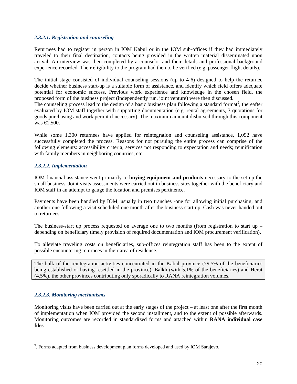## *2.3.2.1. Registration and counseling*

Returnees had to register in person in IOM Kabul or in the IOM sub-offices if they had immediately traveled to their final destination, contacts being provided in the written material disseminated upon arrival. An interview was then completed by a counselor and their details and professional background experience recorded. Their eligibility to the program had then to be verified (e.g. passenger flight details).

The initial stage consisted of individual counseling sessions (up to 4-6) designed to help the returnee decide whether business start-up is a suitable form of assistance, and identify which field offers adequate potential for economic success. Previous work experience and knowledge in the chosen field, the proposed form of the business project (independently run, joint venture) were then discussed.

The counseling process lead to the design of a basic business plan following a standard format<sup>9</sup>, thereafter evaluated by IOM staff together with supporting documentation (e.g. rental agreements, 3 quotations for goods purchasing and work permit if necessary). The maximum amount disbursed through this component was €1,500.

While some 1,300 returnees have applied for reintegration and counseling assistance, 1,092 have successfully completed the process. Reasons for not pursuing the entire process can comprise of the following elements: accessibility criteria; services not responding to expectation and needs; reunification with family members in neighboring countries, etc.

## *2.3.2.2. Implementation*

IOM financial assistance went primarily to **buying equipment and products** necessary to the set up the small business. Joint visits assessments were carried out in business sites together with the beneficiary and IOM staff in an attempt to gauge the location and premises pertinence.

Payments have been handled by IOM, usually in two tranches -one for allowing initial purchasing, and another one following a visit scheduled one month after the business start up. Cash was never handed out to returnees.

The business-start up process requested on average one to two months (from registration to start up – depending on beneficiary timely provision of required documentation and IOM procurement verification).

To alleviate traveling costs on beneficiaries, sub-offices reintegration staff has been to the extent of possible encountering returnees in their area of residence.

The bulk of the reintegration activities concentrated in the Kabul province (79.5% of the beneficiaries being established or having resettled in the province), Balkh (with 5.1% of the beneficiaries) and Herat (4.5%), the other provinces contributing only sporadically to RANA reintegration volumes.

## *2.3.2.3. Monitoring mechanisms*

l

Monitoring visits have been carried out at the early stages of the project – at least one after the first month of implementation when IOM provided the second installment, and to the extent of possible afterwards. Monitoring outcomes are recorded in standardized forms and attached within **RANA individual case files**.

<sup>&</sup>lt;sup>9</sup>. Forms adapted from business development plan forms developed and used by IOM Sarajevo.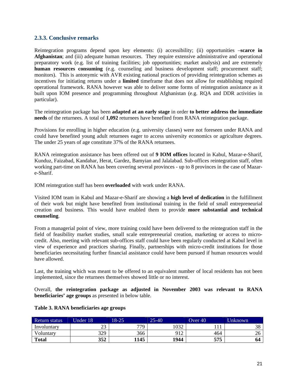## **2.3.3. Conclusive remarks**

Reintegration programs depend upon key elements: (i) accessibility; (ii) opportunities –**scarce in Afghanistan**; and (iii) adequate human resources. They require extensive administrative and operational preparatory work (e.g. list of training facilities; job opportunities; market analysis) and are extremely **human resources consuming** (e.g. counseling and business development staff; procurement staff; monitors). This is antonymic with AVR existing national practices of providing reintegration schemes as incentives for initiating returns under a **limited** timeframe that does not allow for establishing required operational framework. RANA however was able to deliver some forms of reintegration assistance as it built upon IOM presence and programming throughout Afghanistan (e.g. RQA and DDR activities in particular).

The reintegration package has been **adapted at an early stage** in order **to better address the immediate needs** of the returnees. A total of **1,092** returnees have benefited from RANA reintegration package.

Provisions for enrolling in higher education (e.g. university classes) were not foreseen under RANA and could have benefited young adult returnees eager to access university economics or agriculture degrees. The under 25 years of age constitute 37% of the RANA returnees.

RANA reintegration assistance has been offered out of **9 IOM offices** located in Kabul, Mazar-e-Sharif, Kunduz, Faizabad, Kandahar, Herat, Gardez, Bamyian and Jalalabad. Sub-offices reintegration staff, often working part-time on RANA has been covering several provinces - up to 8 provinces in the case of Mazare-Sharif.

IOM reintegration staff has been **overloaded** with work under RANA.

Visited IOM team in Kabul and Mazar-e-Sharif are showing a **high level of dedication** in the fulfillment of their work but might have benefited from institutional training in the field of small entrepreneurial creation and business. This would have enabled them to provide **more substantial and technical counseling**.

From a managerial point of view, more training could have been delivered to the reintegration staff in the field of feasibility market studies, small scale entrepreneurial creation, marketing or access to microcredit. Also, meeting with relevant sub-offices staff could have been regularly conducted at Kabul level in view of experience and practices sharing. Finally, partnerships with micro-credit institutions for those beneficiaries necessitating further financial assistance could have been pursued if human resources would have allowed.

Last, the training which was meant to be offered to an equivalent number of local residents has not been implemented, since the returnees themselves showed little or no interest.

Overall, **the reintegration package as adjusted in November 2003 was relevant to RANA beneficiaries' age groups** as presented in below table.

| Return status | Under 18    | 18-25 | $25 - 40$ | Over 40  | <b>Unknown</b> |
|---------------|-------------|-------|-----------|----------|----------------|
| Involuntary   | $\sim$<br>ت | 77Q   | 032       | $\cdots$ | 38             |
| Voluntary     | 329         | 366   | 912       | 464      | 26             |
| <b>Total</b>  | 352         | 1145  | 1944      | 575      | 64             |

## **Table 3. RANA beneficiaries age groups**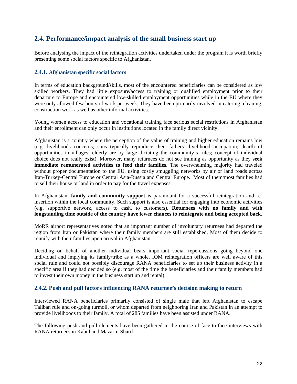## **2.4. Performance/impact analysis of the small business start up**

Before analysing the impact of the reintegration activities undertaken under the program it is worth briefly presenting some social factors specific to Afghanistan.

## **2.4.1. Afghanistan specific social factors**

In terms of education background/skills, most of the encountered beneficiaries can be considered as low skilled workers. They had little exposure/access to training or qualified employment prior to their departure to Europe and encountered low-skilled employment opportunities while in the EU where they were only allowed few hours of work per week. They have been primarily involved in catering, cleaning, construction work as well as other informal activities.

Young women access to education and vocational training face serious social restrictions in Afghanistan and their enrollment can only occur in institutions located in the family direct vicinity.

Afghanistan is a country where the perception of the value of training and higher education remains low (e.g. livelihoods concerns; sons typically reproduce their fathers' livelihood occupation; dearth of opportunities in villages; elderly are by large dictating the community's rules; concept of individual choice does not really exist). Moreover, many returnees do not see training as opportunity as they **seek immediate remunerated activities to feed their families**. The overwhelming majority had traveled without proper documentation to the EU, using costly smuggling networks by air or land roads across Iran-Turkey-Central Europe or Central Asia-Russia and Central Europe. Most of them/most families had to sell their house or land in order to pay for the travel expenses.

In Afghanistan, **family and community support** is paramount for a successful reintegration and reinsertion within the local community. Such support is also essential for engaging into economic activities (e.g. supportive network, access to cash, to customers). **Returnees with no family and with longstanding time outside of the country have fewer chances to reintegrate and being accepted back**.

MoRR airport representatives noted that an important number of involuntary returnees had departed the region from Iran or Pakistan where their family members are still established. Most of them decide to reunify with their families upon arrival in Afghanistan.

Deciding on behalf of another individual bears important social repercussions going beyond one individual and implying its family/tribe as a whole. IOM reintegration officers are well aware of this social rule and could not possibly discourage RANA beneficiaries to set up their business activity in a specific area if they had decided so (e.g. most of the time the beneficiaries and their family members had to invest their own money in the business start up and rental).

## **2.4.2. Push and pull factors influencing RANA returnee's decision making to return**

Interviewed RANA beneficiaries primarily consisted of single male that left Afghanistan to escape Taliban rule and on-going turmoil, or whom departed from neighboring Iran and Pakistan in an attempt to provide livelihoods to their family. A total of 285 families have been assisted under RANA.

The following push and pull elements have been gathered in the course of face-to-face interviews with RANA returnees in Kabul and Mazar-e-Sharif.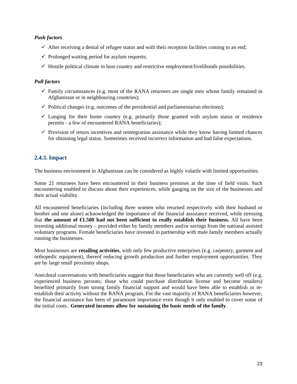## *Push factors*

- $\checkmark$  After receiving a denial of refugee status and with their reception facilities coming to an end;
- $\checkmark$  Prolonged waiting period for asylum requests;
- $\checkmark$  Hostile political climate in host country and restrictive employment/livelihoods possibilities.

## *Pull factors*

- $\checkmark$  Family circumstances (e.g. most of the RANA returnees are single men whose family remained in Afghanistan or in neighbouring countries);
- $\checkmark$  Political changes (e.g. outcomes of the presidential and parliamentarian elections);
- $\checkmark$  Longing for their home country (e.g. primarily those granted with asylum status or residence permits - a few of encountered RANA beneficiaries);
- $\checkmark$  Provision of return incentives and reintegration assistance while they know having limited chances for obtaining legal status. Sometimes received incorrect information and had false expectations.

## **2.4.3. Impact**

The business environment in Afghanistan can be considered as highly volatile with limited opportunities.

Some 21 returnees have been encountered in their business premises at the time of field visits. Such encountering enabled to discuss about their experiences, while gauging on the size of the businesses and their actual viability.

All encountered beneficiaries (including three women who returned respectively with their husband or brother and one alone) acknowledged the importance of the financial assistance received, while stressing that **the amount of €1.500 had not been sufficient to really establish their business.** All have been investing additional money – provided either by family members and/or savings from the national assisted voluntary programs. Female beneficiaries have invested in partnership with male family members actually running the businesses.

Most businesses are **retailing activities**, with only few productive enterprises (e.g. carpentry, garment and orthopedic equipment), thereof reducing growth production and further employment opportunities. They are by large small proximity shops.

Anecdotal conversations with beneficiaries suggest that those beneficiaries who are currently well off (e.g. experienced business persons; those who could purchase distribution license and become retailers) benefited primarily from strong family financial support and would have been able to establish or reestablish their activity without the RANA program. For the vast majority of RANA beneficiaries however, the financial assistance has been of paramount importance even though it only enabled to cover some of the initial costs. **Generated incomes allow for sustaining the basic needs of the family**.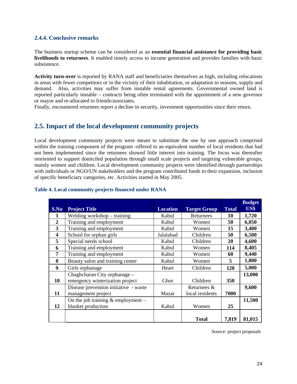## **2.4.4. Conclusive remarks**

The business startup scheme can be considered as an **essential financial assistance for providing basic livelihoods to returnees**. It enabled timely access to income generation and provides families with basic subsistence.

**Activity turn-over** is reported by RANA staff and beneficiaries themselves as high, including relocations in areas with fewer competitors or in the vicinity of their inhabitation, or adaptation to seasons, supply and demand. Also, activities may suffer from instable rental agreements. Governmental owned land is reported particularly instable – contracts being often terminated with the appointment of a new governor or mayor and re-allocated to friends/associates.

Finally, encountered returnees report a decline in security, investment opportunities since their return.

## **2.5. Impact of the local development community projects**

Local development community projects were meant to substitute the one by one approach comprised within the training component of the program -offered to an equivalent number of local residents that had not been implemented since the returnees showed little interest into training. The focus was thereafter reoriented to support domiciled population through small scale projects and targeting vulnerable groups, mainly women and children. Local development community projects were identified through partnerships with individuals or NGO/UN stakeholders and the program contributed funds to their expansion, inclusion of specific beneficiary categories, etc. Activities started in May 2005.

| S.No           | <b>Project Title</b>                                            | <b>Location</b> | <b>Target Group</b>            | <b>Total</b> | <b>Budget</b><br>US\$ |
|----------------|-----------------------------------------------------------------|-----------------|--------------------------------|--------------|-----------------------|
| 1              | Welding workshop - training                                     | Kabul           | Returnees                      | 10           | 1,720                 |
| $\overline{2}$ | Training and employment                                         | Kabul           | Women                          | 50           | 6,050                 |
| 3              | Training and employment                                         | Kabul           | Women                          | 15           | 3,400                 |
| 4              | School for orphan girls                                         | Jalalabad       | Children                       | 50           | 6,500                 |
| 5              | Special needs school                                            | Kabul           | Children                       | 20           | 4,600                 |
| 6              | Training and employment                                         | Kabul           | Women                          | 114          | 8,405                 |
| 7              | Training and employment                                         | Kabul           | Women                          | 60           | 9,440                 |
| 8              | Beauty salon and training center                                | Kabul           | Women                          | 5            | 1,800                 |
| 9              | Girls orphanage                                                 | Heart           | Children                       | 120          | 5,000                 |
| 10             | Chaghcharan City orphanage -<br>emergency winterization project | Ghor            | Children                       | <b>350</b>   | 13,000                |
| 11             | Disease prevention initiative - waste<br>management project     | Mazar           | Returnees &<br>local residents | 7000         | 9,600                 |
| 12             | On the job training $&$ employment –<br>blanket production      | Kabul           | Women                          | 25           | 11,500                |
|                |                                                                 |                 | <b>Total</b>                   | 7,819        | 81,015                |

## **Table 4. Local community projects financed under RANA**

Source: project proposals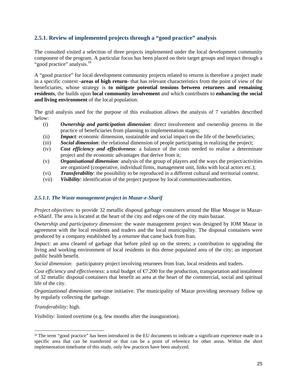## **2.5.1. Review of implemented projects through a "good practice" analysis**

The consulted visited a selection of three projects implemented under the local development community component of the program. A particular focus has been placed on their target groups and impact through a "good practice" analysis.<sup>10</sup>

A "good practice" for local development community projects related to returns is therefore a project made in a specific context -**areas of high return**- that has relevant characteristics from the point of view of the beneficiaries, whose strategy is **to mitigate potential tensions between returnees and remaining residents**, the builds upon **local community involvement** and which contributes to **enhancing the social and living environment** of the local population.

The grid analysis used for the purpose of this evaluation allows the analysis of 7 variables described below:

- (i) *Ownership and participation dimension*: direct involvement and ownership process in the practice of beneficiaries from planning to implementation stages;
- (ii) *Impact*: economic dimension, sustainable and social impact on the life of the beneficiaries;
- (iii) *Social dimension*: the relational dimension of people participating in realizing the project;
- (iv) *Cost efficiency and effectiveness*: a balance of the costs needed to realise a determinate project and the economic advantages that derive from it;
- (v) *Organisational dimension*: analysis of the group of players and the ways the project/activities are organized (cooperative, individual firms, management unit, links with local actors etc.);
- (vi) *Transferability*: the possibility to be reproduced in a different cultural and territorial context.
- (vii) *Visibility*: identification of the project purpose by local communities/authorities.

## *2.5.1.1. The Waste management project in Mazar-e-Sharif*

*Project objectives*: to provide 32 metallic disposal garbage containers around the Blue Mosque in Mazare-Sharif. The area is located at the heart of the city and edges one of the city main bazaar.

*Ownership and participatory dimension*: the waste management project was designed by IOM Mazar in agreement with the local residents and traders and the local municipality. The disposal containers were produced by a company established by a returnee that came back from Iran.

*Impact:* an area cleared of garbage that before piled up on the streets; a contribution to upgrading the living and working environment of local residents in this dense populated area of the city; an important public health benefit.

*Social dimension*: participatory project involving returnees from Iran, local residents and traders.

*Cost efficiency and effectiveness*: a total budget of €7.200 for the production, transportation and instalment of 32 metallic disposal containers that benefit an area at the heart of the commercial, social and spiritual life of the city.

*Organizational dimension*: one-time initiative. The municipality of Mazar providing necessary follow up by regularly collecting the garbage.

*Transferability:* high.

l

*Visibility:* limited overtime (e.g. few months after the inauguration).

<sup>10</sup> The term "good practice" has been introduced in the EU documents to indicate a significant experience made in a specific area that can be transferred or that can be a point of reference for other areas. Within the short implementation timeframe of this study, only few practices have been analyzed.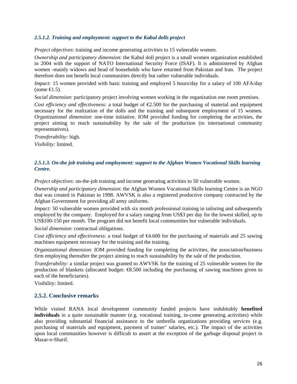## *2.5.1.2. Training and employment: support to the Kabul dolls project*

*Project objectives*: training and income generating activities to 15 vulnerable women.

*Ownership and participatory dimension*: the Kabul doll project is a small women organization established in 2004 with the support of NATO International Security Force (ISAF). It is administered by Afghan women -mainly widows and head of households who have returned from Pakistan and Iran. The project therefore does not benefit local communities directly but rather vulnerable individuals.

*Impact:* 15 women provided with basic training and employed 5 hours/day for a salary of 100 AFA/day  $(some \text{ } \infty, 5).$ 

*Social dimension*: participatory project involving women working in the organization one room premises.

*Cost efficiency and effectiveness*: a total budget of  $\epsilon$ 2.500 for the purchasing of material and equipment necessary for the realization of the dolls and the training and subsequent employment of 15 women. *Organizational dimension*: one-time initiative. IOM provided funding for completing the activities, the project aiming to reach sustainability by the sale of the production (to international community representatives).

*Transferability:* high.

*Visibility:* limited.

## *2.5.1.3. On-the job training and employment: support to the Afghan Women Vocational Skills learning Centre.*

*Project objectives*: on-the-job training and income generating activities to 50 vulnerable women.

*Ownership and participatory dimension*: the Afghan Women Vocational Skills learning Centre is an NGO that was created in Pakistan in 1998. AWVSK is also a registered productive company contracted by the Afghan Government for providing all army uniforms.

*Impact:* 50 vulnerable women provided with six month professional training in tailoring and subsequently employed by the company. Employed for a salary ranging from US\$3 per day for the lowest skilled, up to US\$100-150 per month. The program did not benefit local communities but vulnerable individuals.

*Social dimension*: contractual obligations.

*Cost efficiency and effectiveness*: a total budget of  $\bigoplus$ .600 for the purchasing of materials and 25 sawing machines equipment necessary for the training and the training.

*Organizational dimension*: IOM provided funding for completing the activities, the association/business firm employing thereafter the project aiming to reach sustainability by the sale of the production.

*Transferability:* a similar project was granted to AWVSK for the training of 25 vulnerable women for the production of blankets (allocated budget: €8.500 including the purchasing of sawing machines given to each of the beneficiaries).

Visibility: limited.

## **2.5.2. Conclusive remarks**

While visited RANA local development community funded projects have indubitably **benefited individuals** in a quite sustainable manner (e.g. vocational training, in-come generating activities) while also providing substantial financial assistance to the umbrella organizations providing services (e.g. purchasing of materials and equipment, payment of trainer' salaries, etc.). The impact of the activities upon local communities however is difficult to assert at the exception of the garbage disposal project in Mazar-e-Sharif.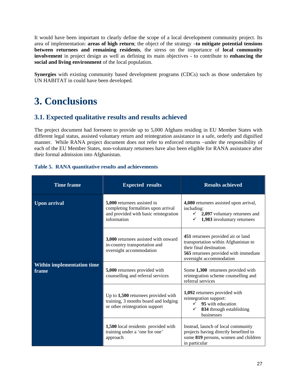It would have been important to clearly define the scope of a local development community project. Its area of implementation: **areas of high return**; the object of the strategy –**to mitigate potential tensions between returnees and remaining residents**, the stress on the importance of **local community involvement** in project design as well as defining its main objectives - to contribute to **enhancing the social and living environment** of the local population.

**Synergies** with existing community based development programs (CDCs) such as those undertaken by UN HABITAT in could have been developed.

# **3. Conclusions**

## **3.1. Expected qualitative results and results achieved**

The project document had foreseen to provide up to 5,000 Afghans residing in EU Member States with different legal status, assisted voluntary return and reintegration assistance in a safe, orderly and dignified manner. While RANA project document does not refer to enforced returns –under the responsibility of each of the EU Member States, non-voluntary returnees have also been eligible for RANA assistance after their formal admission into Afghanistan.

| <b>Time frame</b>                          | <b>Expected results</b>                                                                                                    | <b>Results achieved</b>                                                                                                                                                   |
|--------------------------------------------|----------------------------------------------------------------------------------------------------------------------------|---------------------------------------------------------------------------------------------------------------------------------------------------------------------------|
| <b>Upon arrival</b>                        | 5,000 returnees assisted in<br>completing formalities upon arrival<br>and provided with basic reintegration<br>information | 4,080 returnees assisted upon arrival,<br>including:<br>2,097 voluntary returnees and<br>1,983 involuntary returnees                                                      |
|                                            | 3,000 returnees assisted with onward<br>in-country transportation and<br>overnight accommodation                           | 451 returnees provided air or land<br>transportation within Afghanistan to<br>their final destination<br>565 returnees provided with immediate<br>overnight accommodation |
| <b>Within implementation time</b><br>frame | 5,000 returnees provided with<br>counselling and referral services                                                         | Some 1,300 returnees provided with<br>reintegration scheme counselling and<br>referral services                                                                           |
|                                            | Up to $1,500$ returnees provided with<br>training, 3 months board and lodging<br>or other reintegration support            | 1,092 returnees provided with<br>reintegration support:<br>95 with education<br>✓<br>834 through establishing<br>businesses                                               |
|                                            | 1,500 local residents provided with<br>training under a 'one for one'<br>approach                                          | Instead, launch of local community<br>projects having directly benefited to<br>some 819 persons, women and children<br>in particular                                      |

## **Table 5. RANA quantitative results and achievements**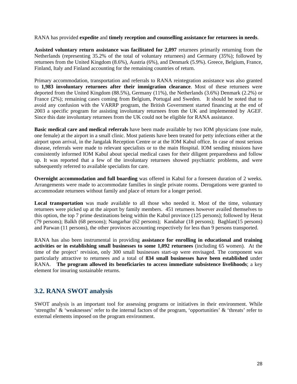RANA has provided **expedite** and **timely reception and counselling assistance for returnees in needs**.

**Assisted voluntary return assistance was facilitated for 2,097** returnees primarily returning from the Netherlands (representing 35.2% of the total of voluntary returnees) and Germany (35%); followed by returnees from the United Kingdom (8.6%), Austria (6%), and Denmark (5.9%). Greece, Belgium, France, Finland, Italy and Finland accounting for the remaining countries of return.

Primary accommodation, transportation and referrals to RANA reintegration assistance was also granted to **1,983 involuntary returnees after their immigration clearance**. Most of these returnees were deported from the United Kingdom (88.5%), Germany (11%), the Netherlands (3.6%) Denmark (2.2%) or France (2%); remaining cases coming from Belgium, Portugal and Sweden. It should be noted that to avoid any confusion with the VARRP program, the British Government started financing at the end of 2003 a specific program for assisting involuntary returnees from the UK and implemented by AGEF. Since this date involuntary returnees from the UK could not be eligible for RANA assistance.

**Basic medical care and medical referrals** have been made available by two IOM physicians (one male, one female) at the airport in a small clinic. Most patients have been treated for petty infections either at the airport upon arrival, in the Jangalak Reception Centre or at the IOM Kabul office. In case of most serious disease, referrals were made to relevant specialists or to the main Hospital. IOM sending missions have consistently informed IOM Kabul about special medical cases for their diligent preparedness and follow up. It was reported that a few of the involuntary returnees showed psychiatric problems, and were subsequently referred to available specialists for care.

**Overnight accommodation and full boarding** was offered in Kabul for a foreseen duration of 2 weeks. Arrangements were made to accommodate families in single private rooms. Derogations were granted to accommodate returnees without family and place of return for a longer period.

**Local transportation** was made available to all those who needed it. Most of the time, voluntary returnees were picked up at the airport by family members. 451 returnees however availed themselves to this option, the top 7 prime destinations being within the Kabul province (125 persons); followed by Herat (79 persons); Balkh (68 persons); Nangarhar (62 persons); Kandahar (18 persons); Baghlan(15 persons) and Parwan (11 persons), the other provinces accounting respectively for less than 9 persons transported.

RANA has also been instrumental in providing **assistance for enrolling in educational and training activities or in establishing small businesses to some 1,092 returnees** (including 65 women). At the time of the project' revision, only 300 small businesses start-up were envisaged. The component was particularly attractive to returnees and a total of **834 small businesses have been established** under RANA. **The program allowed its beneficiaries to access immediate subsistence livelihoods**; a key element for insuring sustainable returns.

## **3.2. RANA SWOT analysis**

SWOT analysis is an important tool for assessing programs or initiatives in their environment. While 'strengths' & 'weaknesses' refer to the internal factors of the program, 'opportunities' & 'threats' refer to external elements imposed on the program environment.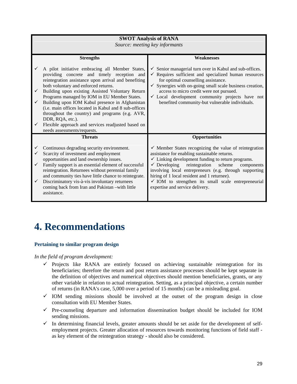|                                        |                                                                                                                                                                                                                                                                                                                                                                                                                                                                                                                          | <b>SWOT Analysis of RANA</b><br>Source: meeting key informants                                                                                                                                                                                                                                                                                                                                                                                                      |
|----------------------------------------|--------------------------------------------------------------------------------------------------------------------------------------------------------------------------------------------------------------------------------------------------------------------------------------------------------------------------------------------------------------------------------------------------------------------------------------------------------------------------------------------------------------------------|---------------------------------------------------------------------------------------------------------------------------------------------------------------------------------------------------------------------------------------------------------------------------------------------------------------------------------------------------------------------------------------------------------------------------------------------------------------------|
| ✓                                      | <b>Strengths</b><br>A pilot initiative embracing all Member States,                                                                                                                                                                                                                                                                                                                                                                                                                                                      | <b>Weaknesses</b><br>$\checkmark$ Senior managerial turn over in Kabul and sub-offices.                                                                                                                                                                                                                                                                                                                                                                             |
| $\checkmark$<br>$\checkmark$           | providing concrete and timely reception and<br>reintegration assistance upon arrival and benefiting<br>both voluntary and enforced returns.<br>Building upon existing Assisted Voluntary Return<br>Programs managed by IOM in EU Member States.<br>Building upon IOM Kabul presence in Afghanistan<br>(i.e. main offices located in Kabul and 8 sub-offices)<br>throughout the country) and programs (e.g. AVR,<br>DDR, RQA, etc.).<br>Flexible approach and services readjusted based on<br>needs assessments/requests. | $\checkmark$ Requires sufficient and specialized human resources<br>for optimal counselling assistance.<br>$\checkmark$ Synergies with on-going small scale business creation,<br>access to micro credit were not pursued.<br>$\checkmark$ Local development community projects have not<br>benefited community-but vulnerable individuals.                                                                                                                         |
|                                        | <b>Threats</b>                                                                                                                                                                                                                                                                                                                                                                                                                                                                                                           | <b>Opportunities</b>                                                                                                                                                                                                                                                                                                                                                                                                                                                |
| ✓<br>✓<br>$\checkmark$<br>$\checkmark$ | Continuous degrading security environment.<br>Scarcity of investment and employment<br>opportunities and land ownership issues.<br>Family support is an essential element of successful<br>reintegration. Returnees without perennial family<br>and community ties have little chance to reintegrate.<br>Discriminatory vis-à-vis involuntary returnees<br>coming back from Iran and Pakistan -with little<br>assistance.                                                                                                | $\checkmark$ Member States recognizing the value of reintegration<br>assistance for enabling sustainable returns.<br>$\checkmark$ Linking development funding to return programs.<br>$\checkmark$ Developing<br>reintegration<br>scheme<br>components<br>involving local entrepreneurs (e.g. through supporting<br>hiring of 1 local resident and 1 returnee).<br>$\checkmark$ IOM to strengthen its small scale entrepreneurial<br>expertise and service delivery. |

# **4. Recommendations**

## **Pertaining to similar program design**

*In the field of program development:* 

- $\checkmark$  Projects like RANA are entirely focused on achieving sustainable reintegration for its beneficiaries; therefore the return and post return assistance processes should be kept separate in the definition of objectives and numerical objectives should mention beneficiaries, grants, or any other variable in relation to actual reintegration. Setting, as a principal objective, a certain number of returns (in RANA's case, 5,000 over a period of 15 months) can be a misleading goal.
- $\checkmark$  IOM sending missions should be involved at the outset of the program design in close consultation with EU Member States.
- $\checkmark$  Pre-counseling departure and information dissemination budget should be included for IOM sending missions.
- $\checkmark$  In determining financial levels, greater amounts should be set aside for the development of selfemployment projects. Greater allocation of resources towards monitoring functions of field staff as key element of the reintegration strategy - should also be considered.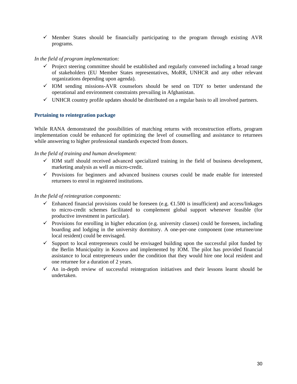$\checkmark$  Member States should be financially participating to the program through existing AVR programs.

## *In the field of program implementation:*

- $\checkmark$  Project steering committee should be established and regularly convened including a broad range of stakeholders (EU Member States representatives, MoRR, UNHCR and any other relevant organizations depending upon agenda).
- $\checkmark$  IOM sending missions-AVR counselors should be send on TDY to better understand the operational and environment constraints prevailing in Afghanistan.
- $\checkmark$  UNHCR country profile updates should be distributed on a regular basis to all involved partners.

## **Pertaining to reintegration package**

While RANA demonstrated the possibilities of matching returns with reconstruction efforts, program implementation could be enhanced for optimizing the level of counselling and assistance to returnees while answering to higher professional standards expected from donors.

## *In the field of training and human development:*

- $\checkmark$  IOM staff should received advanced specialized training in the field of business development, marketing analysis as well as micro-credit.
- $\checkmark$  Provisions for beginners and advanced business courses could be made enable for interested returnees to enrol in registered institutions.

## *In the field of reintegration components:*

- $\checkmark$  Enhanced financial provisions could be foreseen (e.g.  $\in$  1.500 is insufficient) and access/linkages to micro-credit schemes facilitated to complement global support whenever feasible (for productive investment in particular).
- $\checkmark$  Provisions for enrolling in higher education (e.g. university classes) could be foreseen, including boarding and lodging in the university dormitory. A one-per-one component (one returnee/one local resident) could be envisaged.
- $\checkmark$  Support to local entrepreneurs could be envisaged building upon the successful pilot funded by the Berlin Municipality in Kosovo and implemented by IOM. The pilot has provided financial assistance to local entrepreneurs under the condition that they would hire one local resident and one returnee for a duration of 2 years.
- $\checkmark$  An in-depth review of successful reintegration initiatives and their lessons learnt should be undertaken.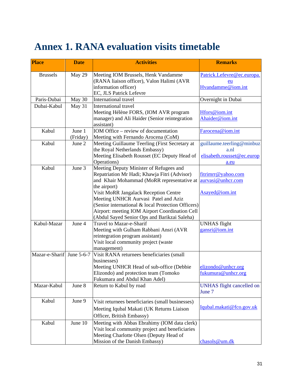# **Annex 1. RANA evaluation visits timetable**

| <b>Place</b>              | <b>Date</b> | <b>Activities</b>                                                             | <b>Remarks</b>                   |
|---------------------------|-------------|-------------------------------------------------------------------------------|----------------------------------|
| <b>Brussels</b>           | May 29      | Meeting IOM Brussels, Henk Vandamme                                           | Patrick.Lefevre@ec.europa.       |
|                           |             | (RANA liaison officer), Valon Halimi (AVR                                     | eu                               |
|                           |             | information officer)                                                          | Hvandamme@iom.int                |
|                           |             | EC, JLS Patrick Lefevre                                                       |                                  |
| Paris-Dubai               | May 30      | International travel                                                          | Overnight in Dubai               |
| Dubai-Kabul               | May 31      | International travel                                                          |                                  |
|                           |             | Meeting Hélène FORS, (IOM AVR program                                         | Hfors@iom.int                    |
|                           |             | manager) and Ali Haider (Senior reintegration                                 | Ahaider@iom.int                  |
|                           |             | assistant)                                                                    |                                  |
| Kabul                     | June 1      | IOM Office – review of documentation                                          | Farocena@iom.int                 |
|                           | (Friday)    | Meeting with Fernando Arocena (CoM)                                           |                                  |
| Kabul                     | June 2      | Meeting Guillaume Teerling (First Secretary at                                | guillaume.teerling@minbuz        |
|                           |             | the Royal Netherlands Embassy)                                                | a.nl                             |
|                           |             | Meeting Elisabeth Rousset (EC Deputy Head of                                  | elisabeth.rousset@ec.europ       |
|                           |             | Operations)                                                                   | a.eu                             |
| Kabul                     | June 3      | Meeting Deputy Minister of Refugees and                                       |                                  |
|                           |             | Repatriation Mr Hadi; Khawja Fitri (Advisor)                                  | fitrimrr@yahoo.com               |
|                           |             | and Khair Mohammad (MoRR representative at                                    | aurvasi@unhcr.com                |
|                           |             | the airport)                                                                  | Asayed@iom.int                   |
|                           |             | Visit MoRR Jangalack Reception Centre<br>Meeting UNHCR Aurvasi Patel and Aziz |                                  |
|                           |             | (Senior international & local Protection Officers)                            |                                  |
|                           |             | Airport: meeting IOM Airport Coordination Cell                                |                                  |
|                           |             | (Abdul Sayed Senior Ops and Barikzai Saleha)                                  |                                  |
| Kabul-Mazar               | June 4      | Travel to Mazar-e-Sharif                                                      | <b>UNHAS</b> flight              |
|                           |             | Meeting with Gulham Rabbani Ansri (AVR                                        | gansri@iom.int                   |
|                           |             | reintegration program assistant)                                              |                                  |
|                           |             | Visit local community project (waste                                          |                                  |
|                           |             | management)                                                                   |                                  |
| Mazar-e-Sharif June 5-6-7 |             | Visit RANA returnees beneficiaries (small                                     |                                  |
|                           |             | businesses)                                                                   |                                  |
|                           |             | Meeting UNHCR Head of sub-office (Debbie                                      | elizondo@unhcr.org               |
|                           |             | Elizondo) and protection team (Tomoko                                         | fukumura@unhcr.org               |
|                           |             | Fukumara and Abdul Khan Adel)                                                 |                                  |
| Mazar-Kabul               | June 8      | Return to Kabul by road                                                       | <b>UNHAS</b> flight cancelled on |
|                           |             |                                                                               | June 7                           |
| Kabul                     | June 9      | Visit returnees beneficiaries (small businesses)                              |                                  |
|                           |             | Meeting Iqubal Makati (UK Returns Liaison                                     | Iqubal.makati@fco.gov.uk         |
|                           |             | Officer, British Embassy)                                                     |                                  |
| Kabul                     | June 10     | Meeting with Abbas Ebrahimy (IOM data clerk)                                  |                                  |
|                           |             | Visit local community project and beneficiaries                               |                                  |
|                           |             | Meeting Charlotte Olsen (Deputy Head of                                       |                                  |
|                           |             | Mission of the Danish Embassy)                                                | chasols@um.dk                    |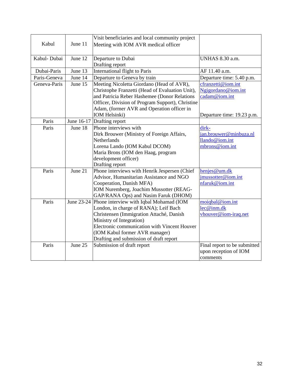|              |         | Visit beneficiaries and local community project    |                               |
|--------------|---------|----------------------------------------------------|-------------------------------|
| Kabul        | June 11 | Meeting with IOM AVR medical officer               |                               |
|              |         |                                                    |                               |
| Kabul-Dubai  | June 12 | Departure to Dubai                                 | <b>UNHAS 8.30 a.m.</b>        |
|              |         | Drafting report                                    |                               |
| Dubai-Paris  | June 13 | <b>International flight to Paris</b>               | AF 11.40 a.m.                 |
| Paris-Geneva | June 14 | Departure to Geneva by train                       | Departure time: 5.40 p.m.     |
| Geneva-Paris | June 15 | Meeting Nicoletta Giordano (Head of AVR),          | cfranzetti@iom.int            |
|              |         | Christophe Franzetti (Head of Evaluation Unit),    | Ngigordano@iom.int            |
|              |         | and Patricia Reber Hashemee (Donor Relations       | cadam@iom.int                 |
|              |         | Officer, Division of Program Support), Christine   |                               |
|              |         | Adam, (former AVR and Operation officer in         |                               |
|              |         | IOM Helsinki)                                      | Departure time: 19.23 p.m.    |
| Paris        |         | June 16-17 Drafting report                         |                               |
| Paris        | June 18 | Phone interviews with                              | dirk-                         |
|              |         | Dirk Brouwer (Ministry of Foreign Affairs,         | <u>jan.brouwer@minbuza.nl</u> |
|              |         | <b>Netherlands</b>                                 | llando@iom.int                |
|              |         | Lorena Lando (IOM Kabul DCOM)                      | mbrons@iom.int                |
|              |         | Maria Brons (IOM den Haag, program                 |                               |
|              |         | development officer)                               |                               |
|              |         | Drafting report                                    |                               |
| Paris        | June 21 | Phone interviews with Henrik Jespersen (Chief      | henjes@um.dk                  |
|              |         | Advisor, Humanitarian Assistance and NGO           | jmussotter@iom.int            |
|              |         | Cooperation, Danish MFA)                           | nfaruk@iom.int                |
|              |         | IOM Nuremberg, Joachim Mussotter (REAG-            |                               |
|              |         | GAP/RANA Ops) and Nasim Faruk (DHOM)               |                               |
| Paris        |         | June 23-24 Phone interview with Iqbal Mohamad (IOM | moiqbal@iom.int               |
|              |         | London, in charge of RANA); Leif Bach              | lec@inm.dk                    |
|              |         | Christensen (Immigration Attaché, Danish           | vhouver@iom-iraq.net          |
|              |         | Ministry of Integration)                           |                               |
|              |         | Electronic communication with Vincent Houver       |                               |
|              |         | (IOM Kabul former AVR manager)                     |                               |
|              |         | Drafting and submission of draft report            |                               |
| Paris        | June 25 | Submission of draft report                         | Final report to be submitted  |
|              |         |                                                    | upon reception of IOM         |
|              |         |                                                    | comments                      |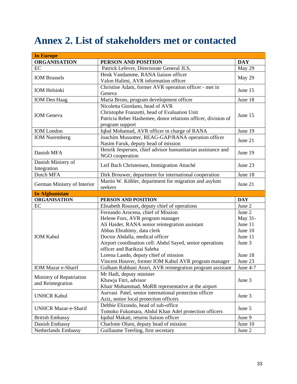# **Annex 2. List of stakeholders met or contacted**

| <b>In Europe</b>                      |                                                                                |            |
|---------------------------------------|--------------------------------------------------------------------------------|------------|
| <b>ORGANISATION</b>                   | PERSON AND POSITION                                                            | <b>DAY</b> |
| EC                                    | Patrick Lefevre, Directorate General JLS,                                      | May 29     |
| <b>IOM Brussels</b>                   | Henk Vandamme, RANA liaison officer                                            | May 29     |
|                                       | Valon Halimi, AVR information officer                                          |            |
|                                       | Christine Adam, former AVR operation officer - met in                          |            |
| <b>IOM Helsinki</b>                   | Geneva                                                                         | June 15    |
| <b>IOM</b> Den Haag                   | Maria Brons, program development officer                                       | June 18    |
|                                       | Nicoletta Giordano, head of AVR                                                |            |
| <b>IOM</b> Geneva                     | Christophe Franzetti, head of Evaluation Unit                                  | June 15    |
|                                       | Patricia Reber Hashemee, donor relations officer, division of                  |            |
|                                       | program support                                                                |            |
| <b>IOM</b> London                     | Iqbal Mohamad, AVR officer in charge of RANA                                   | June 19    |
| <b>IOM</b> Nuremberg                  | Joachim Mussotter, REAG-GAP/RANA operation officer                             |            |
|                                       | Nasim Faruk, deputy head of mission                                            | June 21    |
|                                       | Henrik Jespersen, chief advisor humanitarian assistance and                    |            |
| Danish MFA                            | NGO cooperation                                                                | June 19    |
| Danish Ministry of                    |                                                                                | June 23    |
| Integration                           | Leif Bach Christensen, Immigration Attaché                                     |            |
| Dutch MFA                             | Dirk Brouwer, department for international cooperation                         | June 18    |
|                                       | Martin W. Köhler, department for migration and asylum                          |            |
| German Ministry of Interior           | seekers                                                                        | June 21    |
|                                       |                                                                                |            |
| <b>In Afghanistan</b>                 |                                                                                |            |
| <b>ORGANISATION</b>                   | PERSON AND POSITION                                                            | <b>DAY</b> |
| EC                                    | Elisabeth Rousset, deputy chief of operations                                  | June 2     |
|                                       | Fernando Arocena, chief of Mission                                             | June 2     |
|                                       | Helene Fors, AVR program manager                                               | May 31-    |
|                                       | Ali Haider, RANA senior reintegration assistant                                | June 11    |
|                                       | Abbas Ebrahimy, data clerk                                                     | June 10    |
| <b>IOM Kabul</b>                      | Doctor Abdalla, medical officer                                                | June 11    |
|                                       | Airport coordination cell: Abdul Sayed, senior operations                      | June 3     |
|                                       | officer and Barikzai Saleha                                                    |            |
|                                       | Lorena Lando, deputy chief of mission                                          | June 18    |
|                                       | Vincent Houver, former IOM Kabul AVR program manager                           | June 23    |
| <b>IOM Mazar e-Sharif</b>             | Gulham Rabbani Ansri, AVR reintegration program assistant                      | June 4-7   |
|                                       | Mr Hadi, deputy minister                                                       |            |
| Ministry of Repatriation              | Khawja Fitri, advisor                                                          | June 3     |
| and Reintegration                     | Khair Mohammad, MoRR representative at the airport                             |            |
|                                       | Aurvasi Patel, senior international protection officer                         |            |
| <b>UNHCR Kabul</b>                    | Aziz, senior local protection officers                                         | June 3     |
|                                       | Debbie Elizondo, head of sub-office                                            |            |
| <b>UNHCR Mazar-e-Sharif</b>           | Tomoko Fukumara, Abdul Khan Adel protection officers                           | June 5     |
| <b>British Embassy</b>                | Iqubal Makati, returns liaison officer                                         | June 9     |
| Danish Embassy<br>Netherlands Embassy | Charlotte Olsen, deputy head of mission<br>Guillaume Teerling, first secretary | June 10    |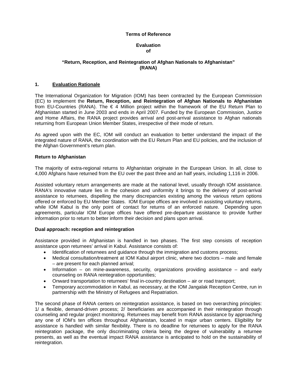#### **Terms of Reference**

#### **Evaluation of**

#### **"Return, Reception, and Reintegration of Afghan Nationals to Afghanistan" (RANA)**

#### **1. Evaluation Rationale**

The International Organization for Migration (IOM) has been contracted by the European Commission (EC) to implement the **Return, Reception, and Reintegration of Afghan Nationals to Afghanistan** from EU-Countries (RANA). The € 4 Million project within the framework of the EU Return Plan to Afghanistan started in June 2003 and ends in April 2007. Funded by the European Commission, Justice and Home Affairs, the RANA project provides arrival and post-arrival assistance to Afghan nationals returning from European Union Member States, irrespective of their mode of return.

As agreed upon with the EC, IOM will conduct an evaluation to better understand the impact of the integrated nature of RANA, the coordination with the EU Return Plan and EU policies, and the inclusion of the Afghan Government's return plan.

#### **Return to Afghanistan**

The majority of extra-regional returns to Afghanistan originate in the European Union. In all, close to 4,000 Afghans have returned from the EU over the past three and an half years, including 1,116 in 2006.

Assisted voluntary return arrangements are made at the national level, usually through IOM assistance. RANA's innovative nature lies in the cohesion and uniformity it brings to the delivery of post-arrival assistance to returnees, dispelling the many discrepancies existing among the various return options offered or enforced by EU Member States. IOM Europe offices are involved in assisting voluntary returns, while IOM Kabul is the only point of contact for returns of an enforced nature. Depending upon agreements, particular IOM Europe offices have offered pre-departure assistance to provide further information prior to return to better inform their decision and plans upon arrival.

#### **Dual approach: reception and reintegration**

Assistance provided in Afghanistan is handled in two phases. The first step consists of reception assistance upon returnees' arrival in Kabul. Assistance consists of:

- Identification of returnees and guidance through the immigration and customs process;
- Medical consultation/treatment at IOM Kabul airport clinic, where two doctors male and female – are present for each planned arrival;
- Information on mine-awareness, security, organizations providing assistance and early counseling on RANA reintegration opportunities;
- Onward transportation to returnees' final in-country destination air or road transport;
- Temporary accommodation in Kabul, as necessary, at the IOM Jangalak Reception Centre, run in partnership with the Ministry of Refugees and Repatriation.

The second phase of RANA centers on reintegration assistance, is based on two overarching principles: 1/ a flexible, demand-driven process; 2/ beneficiaries are accompanied in their reintegration through counseling and regular project monitoring. Returnees may benefit from RANA assistance by approaching any one of IOM's ten offices throughout Afghanistan, located in major urban centers. Eligibility for assistance is handled with similar flexibility. There is no deadline for returnees to apply for the RANA reintegration package, the only discriminating criteria being the degree of vulnerability a returnee presents, as well as the eventual impact RANA assistance is anticipated to hold on the sustainability of reintegration.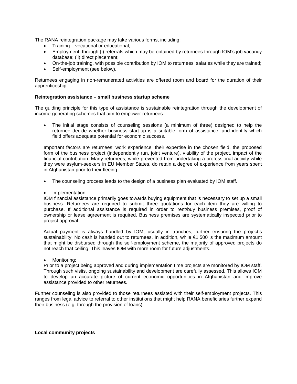The RANA reintegration package may take various forms, including:

- Training vocational or educational;
- Employment, through (i) referrals which may be obtained by returnees through IOM's job vacancy database; (ii) direct placement;
- On-the-job training, with possible contribution by IOM to returnees' salaries while they are trained;
- Self-employment (see below).

Returnees engaging in non-remunerated activities are offered room and board for the duration of their apprenticeship.

#### **Reintegration assistance – small business startup scheme**

The guiding principle for this type of assistance is sustainable reintegration through the development of income-generating schemes that aim to empower returnees.

• The initial stage consists of counseling sessions (a minimum of three) designed to help the returnee decide whether business start-up is a suitable form of assistance, and identify which field offers adequate potential for economic success.

Important factors are returnees' work experience, their expertise in the chosen field, the proposed form of the business project (independently run, joint venture), viability of the project, impact of the financial contribution. Many returnees, while prevented from undertaking a professional activity while they were asylum-seekers in EU Member States, do retain a degree of experience from years spent in Afghanistan prior to their fleeing.

- The counseling process leads to the design of a business plan evaluated by IOM staff.
- Implementation:

IOM financial assistance primarily goes towards buying equipment that is necessary to set up a small business. Returnees are required to submit three quotations for each item they are willing to purchase. If additional assistance is required in order to rent/buy business premises, proof of ownership or lease agreement is required. Business premises are systematically inspected prior to project approval.

Actual payment is always handled by IOM, usually in tranches, further ensuring the project's sustainability. No cash is handed out to returnees. In addition, while €1,500 is the maximum amount that might be disbursed through the self-employment scheme, the majority of approved projects do not reach that ceiling. This leaves IOM with more room for future adjustments.

Monitoring:

Prior to a project being approved and during implementation time projects are monitored by IOM staff. Through such visits, ongoing sustainability and development are carefully assessed. This allows IOM to develop an accurate picture of current economic opportunities in Afghanistan and improve assistance provided to other returnees.

Further counseling is also provided to those returnees assisted with their self-employment projects. This ranges from legal advice to referral to other institutions that might help RANA beneficiaries further expand their business (e.g. through the provision of loans).

**Local community projects**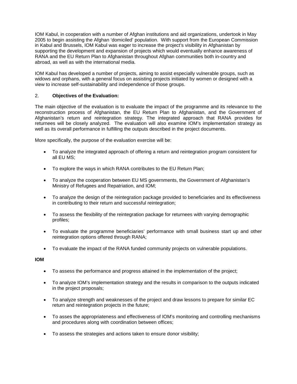IOM Kabul, in cooperation with a number of Afghan institutions and aid organizations, undertook in May 2005 to begin assisting the Afghan 'domiciled' population. With support from the European Commission in Kabul and Brussels, IOM Kabul was eager to increase the project's visibility in Afghanistan by supporting the development and expansion of projects which would eventually enhance awareness of RANA and the EU Return Plan to Afghanistan throughout Afghan communities both in-country and abroad, as well as with the international media.

IOM Kabul has developed a number of projects, aiming to assist especially vulnerable groups, such as widows and orphans, with a general focus on assisting projects initiated by women or designed with a view to increase self-sustainability and independence of those groups.

## 2. **Objectives of the Evaluation:**

The main objective of the evaluation is to evaluate the impact of the programme and its relevance to the reconstruction process of Afghanistan, the EU Return Plan to Afghanistan, and the Government of Afghanistan's return and reintegration strategy. The integrated approach that RANA provides for returnees will be closely analyzed. The evaluation will also examine IOM's implementation strategy as well as its overall performance in fulfilling the outputs described in the project documents.

More specifically, the purpose of the evaluation exercise will be:

- To analyze the integrated approach of offering a return and reintegration program consistent for all EU MS;
- To explore the ways in which RANA contributes to the EU Return Plan;
- To analyze the cooperation between EU MS governments, the Government of Afghanistan's Ministry of Refugees and Repatriation, and IOM;
- To analyze the design of the reintegration package provided to beneficiaries and its effectiveness in contributing to their return and successful reintegration;
- To assess the flexibility of the reintegration package for returnees with varying demographic profiles;
- To evaluate the programme beneficiaries' performance with small business start up and other reintegration options offered through RANA;
- To evaluate the impact of the RANA funded community projects on vulnerable populations.

## **IOM**

- To assess the performance and progress attained in the implementation of the project;
- To analyze IOM's implementation strategy and the results in comparison to the outputs indicated in the project proposals;
- To analyze strength and weaknesses of the project and draw lessons to prepare for similar EC return and reintegration projects in the future;
- To asses the appropriateness and effectiveness of IOM's monitoring and controlling mechanisms and procedures along with coordination between offices;
- To assess the strategies and actions taken to ensure donor visibility;